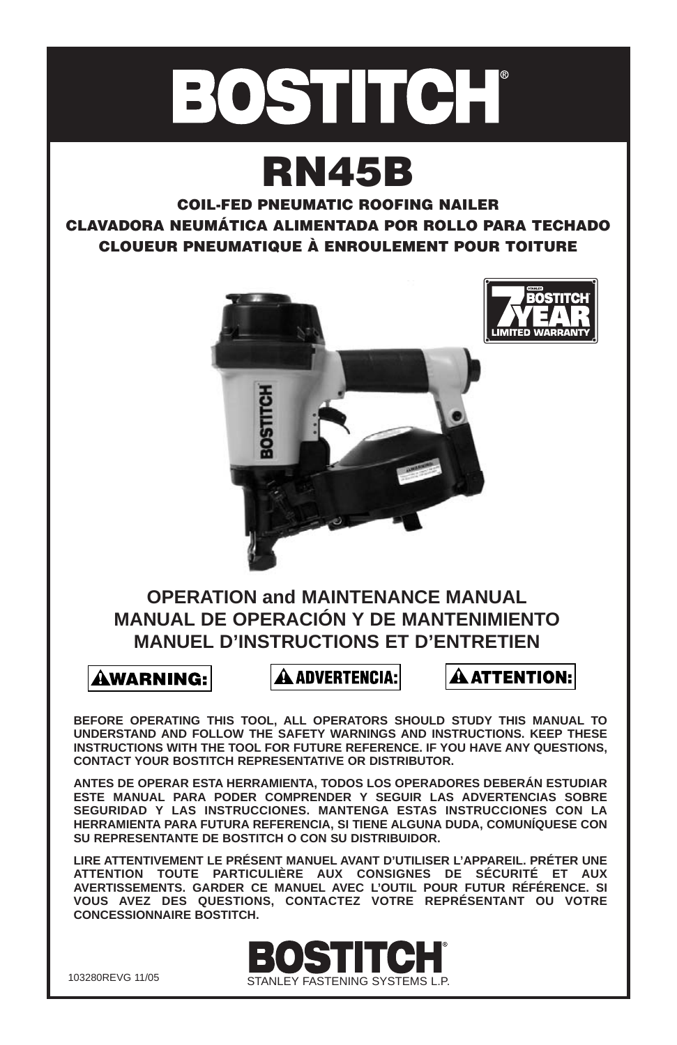

# **RN45B**

**COIL-FED PNEUMATIC ROOFING NAILER CLAVADORA NEUMÁTICA ALIMENTADA POR ROLLO PARA TECHADO CLOUEUR PNEUMATIQUE À ENROULEMENT POUR TOITURE**



### **OPERATION and MAINTENANCE MANUAL MANUAL DE OPERACIÓN Y DE MANTENIMIENTO MANUEL D'INSTRUCTIONS ET D'ENTRETIEN**

**AWARNING:** 

**A ADVERTENCIA:** 

À ATTENTION:

**BEFORE OPERATING THIS TOOL, ALL OPERATORS SHOULD STUDY THIS MANUAL TO UNDERSTAND AND FOLLOW THE SAFETY WARNINGS AND INSTRUCTIONS. KEEP THESE INSTRUCTIONS WITH THE TOOL FOR FUTURE REFERENCE. IF YOU HAVE ANY QUESTIONS, CONTACT YOUR BOSTITCH REPRESENTATIVE OR DISTRIBUTOR.**

**ANTES DE OPERAR ESTA HERRAMIENTA, TODOS LOS OPERADORES DEBERÁN ESTUDIAR ESTE MANUAL PARA PODER COMPRENDER Y SEGUIR LAS ADVERTENCIAS SOBRE SEGURIDAD Y LAS INSTRUCCIONES. MANTENGA ESTAS INSTRUCCIONES CON LA HERRAMIENTA PARA FUTURA REFERENCIA, SI TIENE ALGUNA DUDA, COMUNÍQUESE CON SU REPRESENTANTE DE BOSTITCH O CON SU DISTRIBUIDOR.**

**LIRE ATTENTIVEMENT LE PRÉSENT MANUEL AVANT D'UTILISER L'APPAREIL. PRÉTER UNE ATTENTION TOUTE PARTICULIÈRE AUX CONSIGNES DE SÉCURITÉ ET AUX AVERTISSEMENTS. GARDER CE MANUEL AVEC L'OUTIL POUR FUTUR RÉFÉRENCE. SI VOUS AVEZ DES QUESTIONS, CONTACTEZ VOTRE REPRÉSENTANT OU VOTRE CONCESSIONNAIRE BOSTITCH.** 



103280REVG 11/05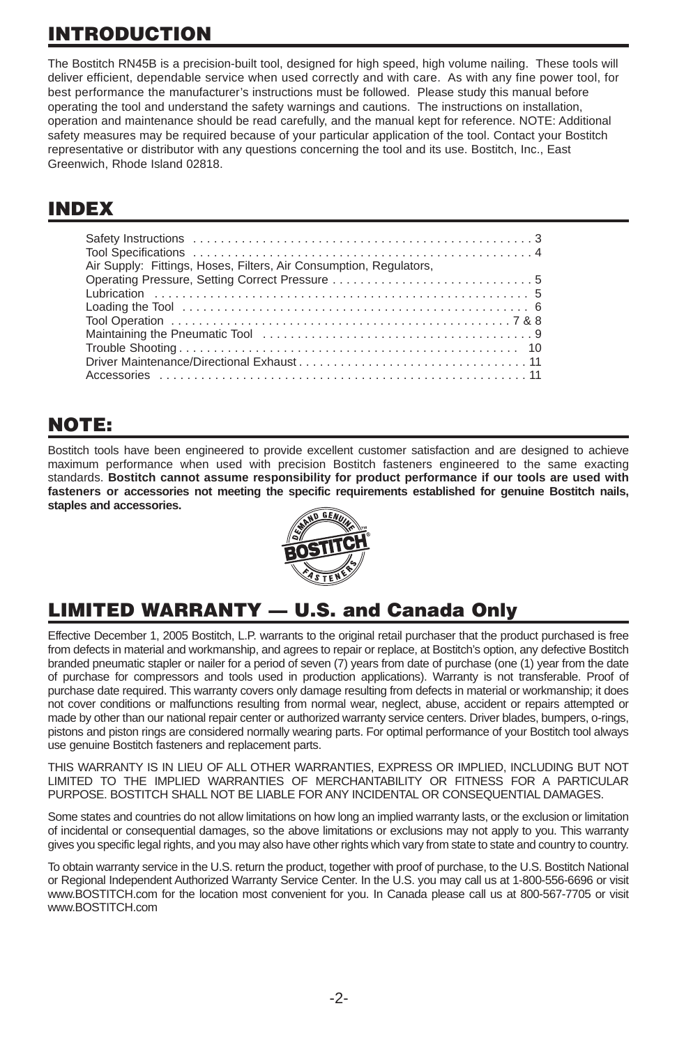# **INTRODUCTION**

The Bostitch RN45B is a precision-built tool, designed for high speed, high volume nailing. These tools will deliver efficient, dependable service when used correctly and with care. As with any fine power tool, for best performance the manufacturer's instructions must be followed. Please study this manual before operating the tool and understand the safety warnings and cautions. The instructions on installation, operation and maintenance should be read carefully, and the manual kept for reference. NOTE: Additional safety measures may be required because of your particular application of the tool. Contact your Bostitch representative or distributor with any questions concerning the tool and its use. Bostitch, Inc., East Greenwich, Rhode Island 02818.

### **INDEX**

| Air Supply: Fittings, Hoses, Filters, Air Consumption, Regulators, |
|--------------------------------------------------------------------|
|                                                                    |
|                                                                    |
|                                                                    |
|                                                                    |
|                                                                    |
|                                                                    |
|                                                                    |
|                                                                    |

### **NOTE:**

Bostitch tools have been engineered to provide excellent customer satisfaction and are designed to achieve maximum performance when used with precision Bostitch fasteners engineered to the same exacting standards. **Bostitch cannot assume responsibility for product performance if our tools are used with fasteners or accessories not meeting the specific requirements established for genuine Bostitch nails, staples and accessories.**



# **LIMITED WARRANTY — U.S. and Canada Only**

Effective December 1, 2005 Bostitch, L.P. warrants to the original retail purchaser that the product purchased is free from defects in material and workmanship, and agrees to repair or replace, at Bostitch's option, any defective Bostitch branded pneumatic stapler or nailer for a period of seven (7) years from date of purchase (one (1) year from the date of purchase for compressors and tools used in production applications). Warranty is not transferable. Proof of purchase date required. This warranty covers only damage resulting from defects in material or workmanship; it does not cover conditions or malfunctions resulting from normal wear, neglect, abuse, accident or repairs attempted or made by other than our national repair center or authorized warranty service centers. Driver blades, bumpers, o-rings, pistons and piston rings are considered normally wearing parts. For optimal performance of your Bostitch tool always use genuine Bostitch fasteners and replacement parts.

THIS WARRANTY IS IN LIEU OF ALL OTHER WARRANTIES, EXPRESS OR IMPLIED, INCLUDING BUT NOT LIMITED TO THE IMPLIED WARRANTIES OF MERCHANTABILITY OR FITNESS FOR A PARTICULAR PURPOSE. BOSTITCH SHALL NOT BE LIABLE FOR ANY INCIDENTAL OR CONSEQUENTIAL DAMAGES.

Some states and countries do not allow limitations on how long an implied warranty lasts, or the exclusion or limitation of incidental or consequential damages, so the above limitations or exclusions may not apply to you. This warranty gives you specific legal rights, and you may also have other rights which vary from state to state and country to country.

To obtain warranty service in the U.S. return the product, together with proof of purchase, to the U.S. Bostitch National or Regional Independent Authorized Warranty Service Center. In the U.S. you may call us at 1-800-556-6696 or visit www.BOSTITCH.com for the location most convenient for you. In Canada please call us at 800-567-7705 or visit www.BOSTITCH.com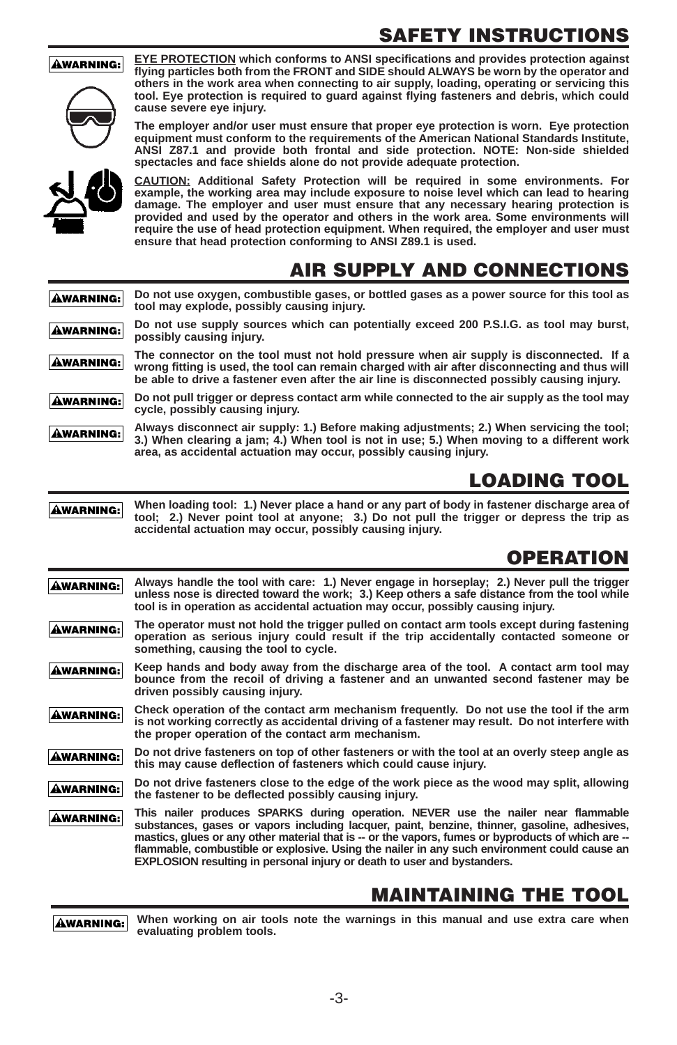## **SAFETY INSTRUCTIONS**



**AWARNING:** 

**EYE PROTECTION which conforms to ANSI specifications and provides protection against flying particles both from the FRONT and SIDE should ALWAYS be worn by the operator and others in the work area when connecting to air supply, loading, operating or servicing this tool. Eye protection is required to guard against flying fasteners and debris, which could cause severe eye injury.**

**The employer and/or user must ensure that proper eye protection is worn. Eye protection equipment must conform to the requirements of the American National Standards Institute, ANSI Z87.1 and provide both frontal and side protection. NOTE: Non-side shielded spectacles and face shields alone do not provide adequate protection.**

**CAUTION: Additional Safety Protection will be required in some environments. For example, the working area may include exposure to noise level which can lead to hearing damage. The employer and user must ensure that any necessary hearing protection is provided and used by the operator and others in the work area. Some environments will require the use of head protection equipment. When required, the employer and user must ensure that head protection conforming to ANSI Z89.1 is used.**

### **AIR SUPPLY AND CONNECTIONS**

**Do not use oxygen, combustible gases, or bottled gases as a power source for this tool as AWARNING: tool may explode, possibly causing injury.**

**Do not use supply sources which can potentially exceed 200 P.S.I.G. as tool may burst, AWARNING: possibly causing injury.**

**The connector on the tool must not hold pressure when air supply is disconnected. If a AWARNING: wrong fitting is used, the tool can remain charged with air after disconnecting and thus will be able to drive a fastener even after the air line is disconnected possibly causing injury.**

**Do not pull trigger or depress contact arm while connected to the air supply as the tool may AWARNING: cycle, possibly causing injury.**

**Always disconnect air supply: 1.) Before making adjustments; 2.) When servicing the tool; AWARNING: 3.) When clearing a jam; 4.) When tool is not in use; 5.) When moving to a different work area, as accidental actuation may occur, possibly causing injury.**

# **LOADING TOOL**

**When loading tool: 1.) Never place a hand or any part of body in fastener discharge area of AWARNING: tool; 2.) Never point tool at anyone; 3.) Do not pull the trigger or depress the trip as accidental actuation may occur, possibly causing injury.**

# **OPERATION**

**Always handle the tool with care: 1.) Never engage in horseplay; 2.) Never pull the trigger AWARNING: unless nose is directed toward the work; 3.) Keep others a safe distance from the tool while tool is in operation as accidental actuation may occur, possibly causing injury.**

**The operator must not hold the trigger pulled on contact arm tools except during fastening** ÂWARNING: **operation as serious injury could result if the trip accidentally contacted someone or something, causing the tool to cycle.**

**Keep hands and body away from the discharge area of the tool. A contact arm tool may AWARNING: bounce from the recoil of driving a fastener and an unwanted second fastener may be driven possibly causing injury.**

**Check operation of the contact arm mechanism frequently. Do not use the tool if the arm AWARNING: is not working correctly as accidental driving of a fastener may result. Do not interfere with the proper operation of the contact arm mechanism.**

**Do not drive fasteners on top of other fasteners or with the tool at an overly steep angle as AWARNING: this may cause deflection of fasteners which could cause injury.** 

**Do not drive fasteners close to the edge of the work piece as the wood may split, allowing AWARNING: the fastener to be deflected possibly causing injury.**

**This nailer produces SPARKS during operation. NEVER use the nailer near flammable AWARNING: substances, gases or vapors including lacquer, paint, benzine, thinner, gasoline, adhesives,** mastics, glues or any other material that is -- or the vapors, fumes or byproducts of which are -**flammable, combustible or explosive. Using the nailer in any such environment could cause an EXPLOSION resulting in personal injury or death to user and bystanders.**

### **MAINTAINING THE TOOL**

**When working on air tools note the warnings in this manual and use extra care when AWARNING: evaluating problem tools.**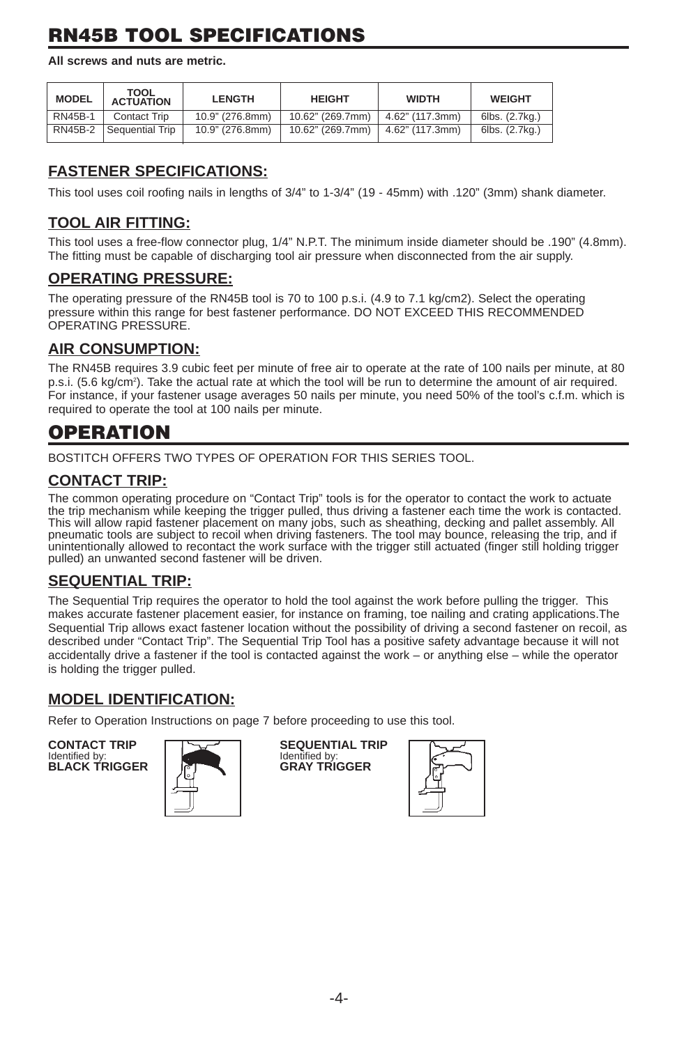# **RN45B TOOL SPECIFICATIONS**

**All screws and nuts are metric.**

| <b>MODEL</b>   | <b>TOOL</b><br><b>ACTUATION</b> | <b>LENGTH</b>   | <b>HEIGHT</b>    | <b>WIDTH</b>    | <b>WEIGHT</b>  |
|----------------|---------------------------------|-----------------|------------------|-----------------|----------------|
| <b>RN45B-1</b> | Contact Trip                    | 10.9" (276.8mm) | 10.62" (269.7mm) | 4.62" (117.3mm) | 6lbs. (2.7kg.) |
| RN45B-2        | Sequential Trip                 | 10.9" (276.8mm) | 10.62" (269.7mm) | 4.62" (117.3mm) | 6lbs. (2.7kg.) |

### **FASTENER SPECIFICATIONS:**

This tool uses coil roofing nails in lengths of 3/4" to 1-3/4" (19 - 45mm) with .120" (3mm) shank diameter.

#### **TOOL AIR FITTING:**

This tool uses a free-flow connector plug, 1/4" N.P.T. The minimum inside diameter should be .190" (4.8mm). The fitting must be capable of discharging tool air pressure when disconnected from the air supply.

#### **OPERATING PRESSURE:**

The operating pressure of the RN45B tool is 70 to 100 p.s.i. (4.9 to 7.1 kg/cm2). Select the operating pressure within this range for best fastener performance. DO NOT EXCEED THIS RECOMMENDED OPERATING PRESSURE.

### **AIR CONSUMPTION:**

The RN45B requires 3.9 cubic feet per minute of free air to operate at the rate of 100 nails per minute, at 80 p.s.i. (5.6 kg/cm2 ). Take the actual rate at which the tool will be run to determine the amount of air required. For instance, if your fastener usage averages 50 nails per minute, you need 50% of the tool's c.f.m. which is required to operate the tool at 100 nails per minute.

### **OPERATION**

BOSTITCH OFFERS TWO TYPES OF OPERATION FOR THIS SERIES TOOL.

#### **CONTACT TRIP:**

The common operating procedure on "Contact Trip" tools is for the operator to contact the work to actuate the trip mechanism while keeping the trigger pulled, thus driving a fastener each time the work is contacted. This will allow rapid fastener placement on many jobs, such as sheathing, decking and pallet assembly. All pneumatic tools are subject to recoil when driving fasteners. The tool may bounce, releasing the trip, and if unintentionally allowed to recontact the work surface with the trigger still actuated (finger still holding trigger pulled) an unwanted second fastener will be driven.

#### **SEQUENTIAL TRIP:**

The Sequential Trip requires the operator to hold the tool against the work before pulling the trigger. This makes accurate fastener placement easier, for instance on framing, toe nailing and crating applications.The Sequential Trip allows exact fastener location without the possibility of driving a second fastener on recoil, as described under "Contact Trip". The Sequential Trip Tool has a positive safety advantage because it will not accidentally drive a fastener if the tool is contacted against the work – or anything else – while the operator is holding the trigger pulled.

#### **MODEL IDENTIFICATION:**

Refer to Operation Instructions on page 7 before proceeding to use this tool.

Identified by: **Identified by:** Identified by:<br> **BLACK TRIGGER** GRAY TRIGGER



**CONTACT TRIP SEQUENTIAL TRIP**<br>Identified by: Identified by:

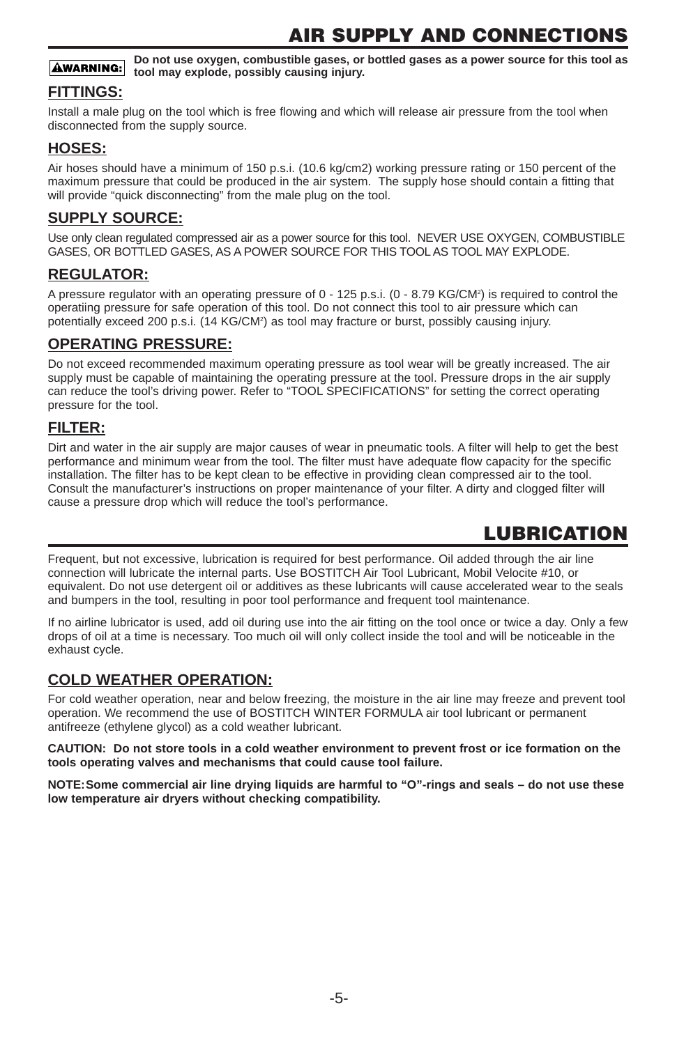**Do not use oxygen, combustible gases, or bottled gases as a power source for this tool as AWARNING: tool may explode, possibly causing injury.**

#### **FITTINGS:**

Install a male plug on the tool which is free flowing and which will release air pressure from the tool when disconnected from the supply source.

#### **HOSES:**

Air hoses should have a minimum of 150 p.s.i. (10.6 kg/cm2) working pressure rating or 150 percent of the maximum pressure that could be produced in the air system. The supply hose should contain a fitting that will provide "quick disconnecting" from the male plug on the tool.

#### **SUPPLY SOURCE:**

Use only clean regulated compressed air as a power source for this tool. NEVER USE OXYGEN, COMBUSTIBLE GASES, OR BOTTLED GASES, AS A POWER SOURCE FOR THIS TOOL AS TOOL MAY EXPLODE.

#### **REGULATOR:**

A pressure regulator with an operating pressure of 0 - 125 p.s.i. (0 - 8.79 KG/CM<sup>2</sup>) is required to control the operatiing pressure for safe operation of this tool. Do not connect this tool to air pressure which can potentially exceed 200 p.s.i. (14 KG/CM<sup>2</sup>) as tool may fracture or burst, possibly causing injury.

#### **OPERATING PRESSURE:**

Do not exceed recommended maximum operating pressure as tool wear will be greatly increased. The air supply must be capable of maintaining the operating pressure at the tool. Pressure drops in the air supply can reduce the tool's driving power. Refer to "TOOL SPECIFICATIONS" for setting the correct operating pressure for the tool.

#### **FILTER:**

Dirt and water in the air supply are major causes of wear in pneumatic tools. A filter will help to get the best performance and minimum wear from the tool. The filter must have adequate flow capacity for the specific installation. The filter has to be kept clean to be effective in providing clean compressed air to the tool. Consult the manufacturer's instructions on proper maintenance of your filter. A dirty and clogged filter will cause a pressure drop which will reduce the tool's performance.

### **LUBRICATION**

Frequent, but not excessive, lubrication is required for best performance. Oil added through the air line connection will lubricate the internal parts. Use BOSTITCH Air Tool Lubricant, Mobil Velocite #10, or equivalent. Do not use detergent oil or additives as these lubricants will cause accelerated wear to the seals and bumpers in the tool, resulting in poor tool performance and frequent tool maintenance.

If no airline lubricator is used, add oil during use into the air fitting on the tool once or twice a day. Only a few drops of oil at a time is necessary. Too much oil will only collect inside the tool and will be noticeable in the exhaust cycle.

#### **COLD WEATHER OPERATION:**

For cold weather operation, near and below freezing, the moisture in the air line may freeze and prevent tool operation. We recommend the use of BOSTITCH WINTER FORMULA air tool lubricant or permanent antifreeze (ethylene glycol) as a cold weather lubricant.

**CAUTION: Do not store tools in a cold weather environment to prevent frost or ice formation on the tools operating valves and mechanisms that could cause tool failure.**

**NOTE:Some commercial air line drying liquids are harmful to "O"-rings and seals – do not use these low temperature air dryers without checking compatibility.**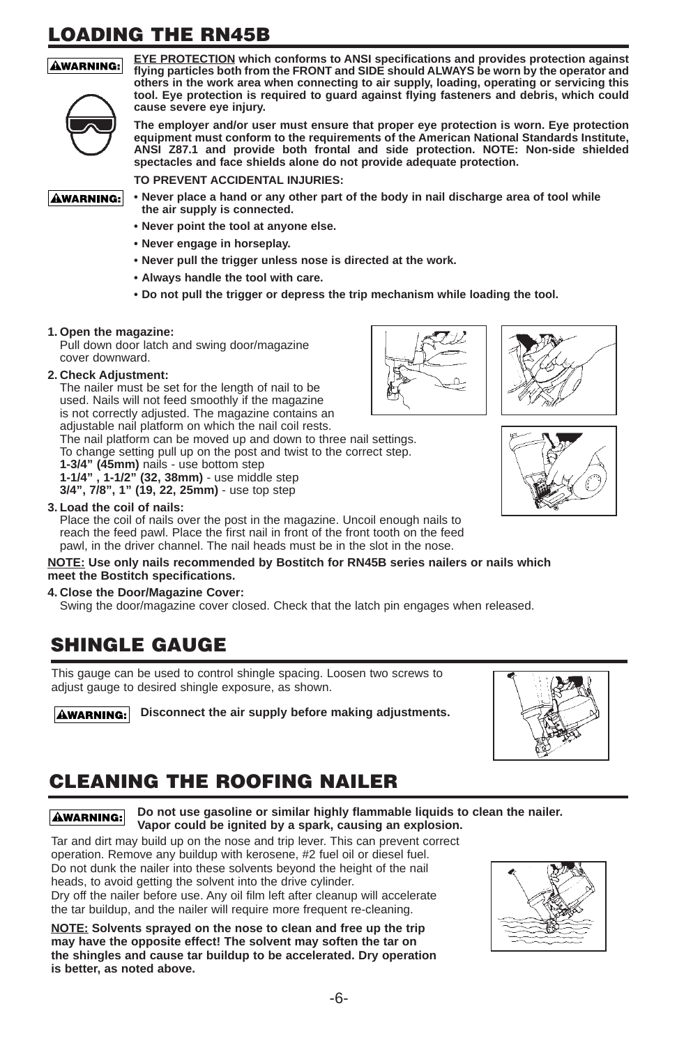# **LOADING THE RN45B**

#### **AWARNING:**



**EYE PROTECTION which conforms to ANSI specifications and provides protection against flying particles both from the FRONT and SIDE should ALWAYS be worn by the operator and others in the work area when connecting to air supply, loading, operating or servicing this tool. Eye protection is required to guard against flying fasteners and debris, which could cause severe eye injury.**

**The employer and/or user must ensure that proper eye protection is worn. Eye protection equipment must conform to the requirements of the American National Standards Institute, ANSI Z87.1 and provide both frontal and side protection. NOTE: Non-side shielded spectacles and face shields alone do not provide adequate protection.**

**TO PREVENT ACCIDENTAL INJURIES:**

**AWARNING:** 

- **Never place a hand or any other part of the body in nail discharge area of tool while the air supply is connected.**
- **• Never point the tool at anyone else.**
- **• Never engage in horseplay.**
- **• Never pull the trigger unless nose is directed at the work.**
- **Always handle the tool with care.**
- **• Do not pull the trigger or depress the trip mechanism while loading the tool.**

#### **1. Open the magazine:**

Pull down door latch and swing door/magazine cover downward.

#### **2. Check Adjustment:**

The nailer must be set for the length of nail to be used. Nails will not feed smoothly if the magazine is not correctly adjusted. The magazine contains an adjustable nail platform on which the nail coil rests.

The nail platform can be moved up and down to three nail settings. To change setting pull up on the post and twist to the correct step.

**1-3/4" (45mm)** nails - use bottom step

**1-1/4" , 1-1/2" (32, 38mm)** - use middle step

**3/4", 7/8", 1" (19, 22, 25mm)** - use top step

#### **3. Load the coil of nails:**

Place the coil of nails over the post in the magazine. Uncoil enough nails to reach the feed pawl. Place the first nail in front of the front tooth on the feed pawl, in the driver channel. The nail heads must be in the slot in the nose.

#### **NOTE: Use only nails recommended by Bostitch for RN45B series nailers or nails which meet the Bostitch specifications.**

#### **4. Close the Door/Magazine Cover:**

Swing the door/magazine cover closed. Check that the latch pin engages when released.

### **SHINGLE GAUGE**

This gauge can be used to control shingle spacing. Loosen two screws to adjust gauge to desired shingle exposure, as shown.

**AWARNING:** Disconnect the air supply before making adjustments.

# **CLEANING THE ROOFING NAILER**

**Do not use gasoline or similar highly flammable liquids to clean the nailer. AWARNING: Vapor could be ignited by a spark, causing an explosion.**

Tar and dirt may build up on the nose and trip lever. This can prevent correct operation. Remove any buildup with kerosene, #2 fuel oil or diesel fuel. Do not dunk the nailer into these solvents beyond the height of the nail heads, to avoid getting the solvent into the drive cylinder. Dry off the nailer before use. Any oil film left after cleanup will accelerate the tar buildup, and the nailer will require more frequent re-cleaning.

**NOTE: Solvents sprayed on the nose to clean and free up the trip may have the opposite effect! The solvent may soften the tar on the shingles and cause tar buildup to be accelerated. Dry operation is better, as noted above.**





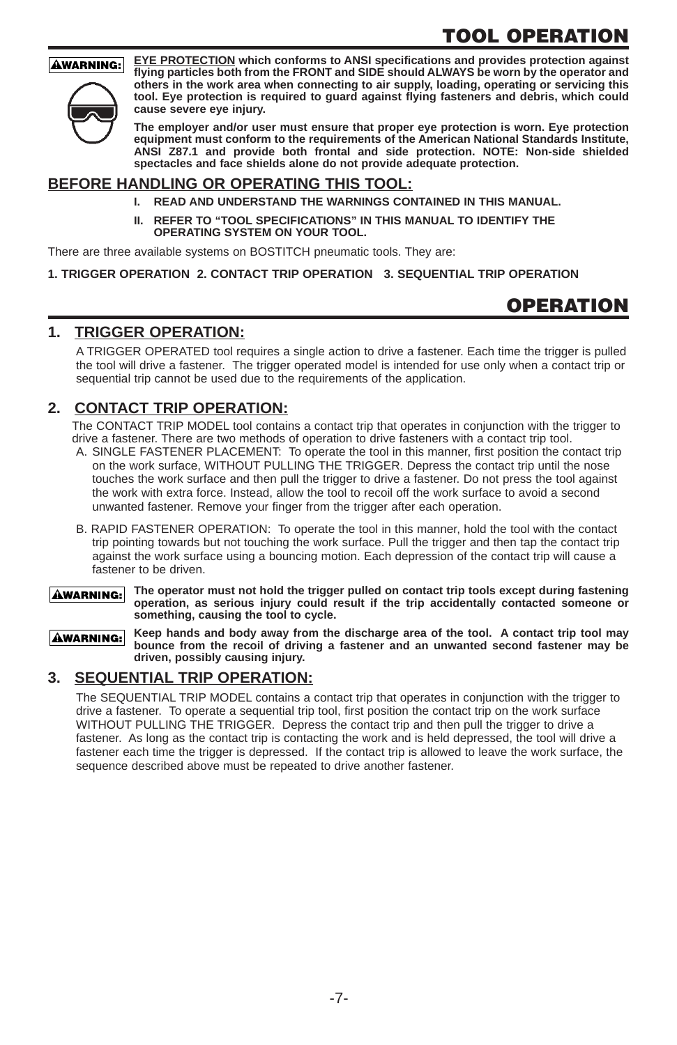# **TOOL OPERATION**

#### **AWARNING:**



**EYE PROTECTION which conforms to ANSI specifications and provides protection against flying particles both from the FRONT and SIDE should ALWAYS be worn by the operator and others in the work area when connecting to air supply, loading, operating or servicing this tool. Eye protection is required to guard against flying fasteners and debris, which could cause severe eye injury.**

**The employer and/or user must ensure that proper eye protection is worn. Eye protection equipment must conform to the requirements of the American National Standards Institute, ANSI Z87.1 and provide both frontal and side protection. NOTE: Non-side shielded spectacles and face shields alone do not provide adequate protection.**

#### **BEFORE HANDLING OR OPERATING THIS TOOL:**

- **I. READ AND UNDERSTAND THE WARNINGS CONTAINED IN THIS MANUAL.**
- **II. REFER TO "TOOL SPECIFICATIONS" IN THIS MANUAL TO IDENTIFY THE OPERATING SYSTEM ON YOUR TOOL.**

There are three available systems on BOSTITCH pneumatic tools. They are:

**1. TRIGGER OPERATION 2. CONTACT TRIP OPERATION 3. SEQUENTIAL TRIP OPERATION**

### **OPERATION**

#### **1. TRIGGER OPERATION:**

A TRIGGER OPERATED tool requires a single action to drive a fastener. Each time the trigger is pulled the tool will drive a fastener. The trigger operated model is intended for use only when a contact trip or sequential trip cannot be used due to the requirements of the application.

#### **2. CONTACT TRIP OPERATION:**

The CONTACT TRIP MODEL tool contains a contact trip that operates in conjunction with the trigger to drive a fastener. There are two methods of operation to drive fasteners with a contact trip tool.

- A. SINGLE FASTENER PLACEMENT: To operate the tool in this manner, first position the contact trip on the work surface, WITHOUT PULLING THE TRIGGER. Depress the contact trip until the nose touches the work surface and then pull the trigger to drive a fastener. Do not press the tool against the work with extra force. Instead, allow the tool to recoil off the work surface to avoid a second unwanted fastener. Remove your finger from the trigger after each operation.
- B. RAPID FASTENER OPERATION: To operate the tool in this manner, hold the tool with the contact trip pointing towards but not touching the work surface. Pull the trigger and then tap the contact trip against the work surface using a bouncing motion. Each depression of the contact trip will cause a fastener to be driven.
- **The operator must not hold the trigger pulled on contact trip tools except during fastening AWARNING: operation, as serious injury could result if the trip accidentally contacted someone or something, causing the tool to cycle.**

**Keep hands and body away from the discharge area of the tool. A contact trip tool may AWARNING: bounce from the recoil of driving a fastener and an unwanted second fastener may be driven, possibly causing injury.**

#### **3. SEQUENTIAL TRIP OPERATION:**

The SEQUENTIAL TRIP MODEL contains a contact trip that operates in conjunction with the trigger to drive a fastener. To operate a sequential trip tool, first position the contact trip on the work surface WITHOUT PULLING THE TRIGGER. Depress the contact trip and then pull the trigger to drive a fastener. As long as the contact trip is contacting the work and is held depressed, the tool will drive a fastener each time the trigger is depressed. If the contact trip is allowed to leave the work surface, the sequence described above must be repeated to drive another fastener.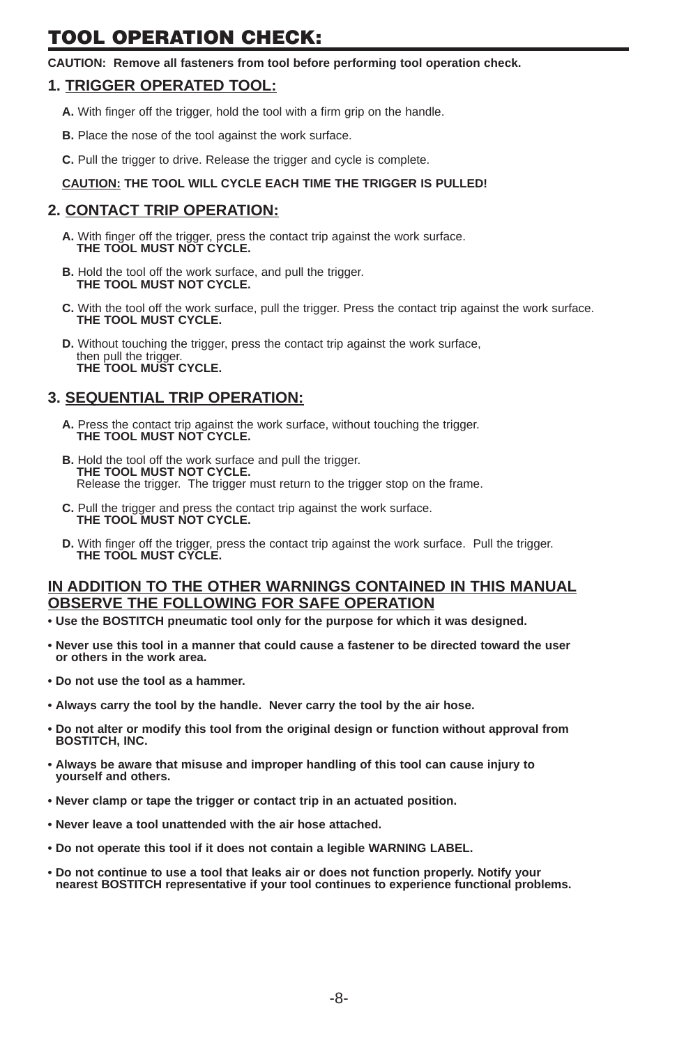# **TOOL OPERATION CHECK:**

**CAUTION: Remove all fasteners from tool before performing tool operation check.**

#### **1. TRIGGER OPERATED TOOL:**

- **A.** With finger off the trigger, hold the tool with a firm grip on the handle.
- **B.** Place the nose of the tool against the work surface.
- **C.** Pull the trigger to drive. Release the trigger and cycle is complete.

#### **CAUTION: THE TOOL WILL CYCLE EACH TIME THE TRIGGER IS PULLED!**

#### **2. CONTACT TRIP OPERATION:**

- **A.** With finger off the trigger, press the contact trip against the work surface. **THE TOOL MUST NOT CYCLE.**
- **B.** Hold the tool off the work surface, and pull the trigger. **THE TOOL MUST NOT CYCLE.**
- **C.** With the tool off the work surface, pull the trigger. Press the contact trip against the work surface. **THE TOOL MUST CYCLE.**
- **D.** Without touching the trigger, press the contact trip against the work surface, then pull the trigger. **THE TOOL MUST CYCLE.**

#### **3. SEQUENTIAL TRIP OPERATION:**

- **A.** Press the contact trip against the work surface, without touching the trigger. **THE TOOL MUST NOT CYCLE.**
- **B.** Hold the tool off the work surface and pull the trigger. **THE TOOL MUST NOT CYCLE.** Release the trigger. The trigger must return to the trigger stop on the frame.
- **C.** Pull the trigger and press the contact trip against the work surface. **THE TOOL MUST NOT CYCLE.**
- **D.** With finger off the trigger, press the contact trip against the work surface. Pull the trigger. **THE TOOL MUST CYCLE.**

#### **IN ADDITION TO THE OTHER WARNINGS CONTAINED IN THIS MANUAL OBSERVE THE FOLLOWING FOR SAFE OPERATION**

- **• Use the BOSTITCH pneumatic tool only for the purpose for which it was designed.**
- **• Never use this tool in a manner that could cause a fastener to be directed toward the user or others in the work area.**
- **• Do not use the tool as a hammer.**
- **• Always carry the tool by the handle. Never carry the tool by the air hose.**
- **• Do not alter or modify this tool from the original design or function without approval from BOSTITCH, INC.**
- **• Always be aware that misuse and improper handling of this tool can cause injury to yourself and others.**
- **• Never clamp or tape the trigger or contact trip in an actuated position.**
- **• Never leave a tool unattended with the air hose attached.**
- **• Do not operate this tool if it does not contain a legible WARNING LABEL.**
- **Do not continue to use a tool that leaks air or does not function properly. Notify your nearest BOSTITCH representative if your tool continues to experience functional problems.**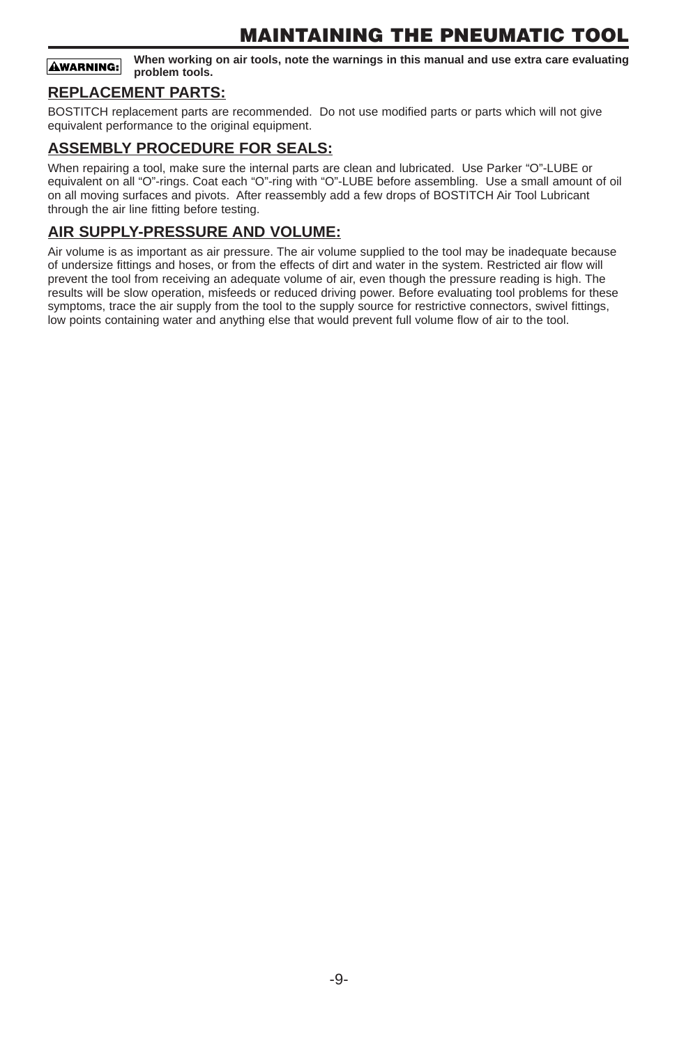### **MAINTAINING THE PNEUMATIC TOOL**

**When working on air tools, note the warnings in this manual and use extra care evaluating AWARNING: problem tools.**

#### **REPLACEMENT PARTS:**

BOSTITCH replacement parts are recommended. Do not use modified parts or parts which will not give equivalent performance to the original equipment.

#### **ASSEMBLY PROCEDURE FOR SEALS:**

When repairing a tool, make sure the internal parts are clean and lubricated. Use Parker "O"-LUBE or equivalent on all "O"-rings. Coat each "O"-ring with "O"-LUBE before assembling. Use a small amount of oil on all moving surfaces and pivots. After reassembly add a few drops of BOSTITCH Air Tool Lubricant through the air line fitting before testing.

#### **AIR SUPPLY-PRESSURE AND VOLUME:**

Air volume is as important as air pressure. The air volume supplied to the tool may be inadequate because of undersize fittings and hoses, or from the effects of dirt and water in the system. Restricted air flow will prevent the tool from receiving an adequate volume of air, even though the pressure reading is high. The results will be slow operation, misfeeds or reduced driving power. Before evaluating tool problems for these symptoms, trace the air supply from the tool to the supply source for restrictive connectors, swivel fittings, low points containing water and anything else that would prevent full volume flow of air to the tool.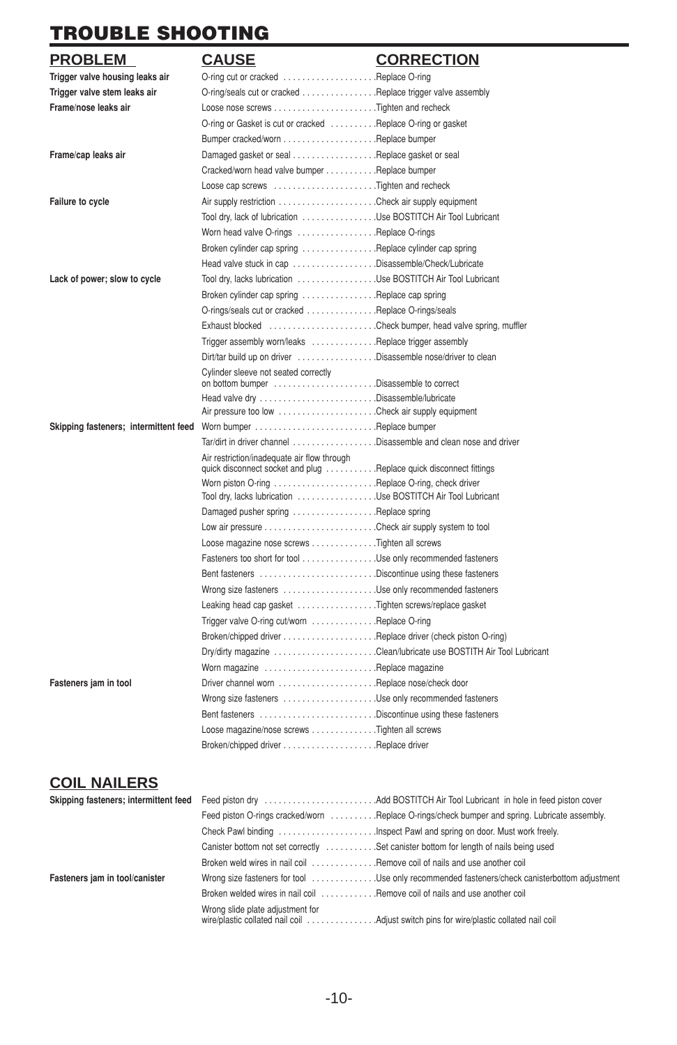# **TROUBLE SHOOTING**

| <b>PROBLEM</b>                        | <b>CAUSE</b>                                                                                                       | <b>CORRECTION</b> |
|---------------------------------------|--------------------------------------------------------------------------------------------------------------------|-------------------|
| Trigger valve housing leaks air       | O-ring cut or cracked Replace O-ring                                                                               |                   |
| Trigger valve stem leaks air          | O-ring/seals cut or cracked Replace trigger valve assembly                                                         |                   |
| Frame/nose leaks air                  |                                                                                                                    |                   |
|                                       | O-ring or Gasket is cut or cracked Replace O-ring or gasket                                                        |                   |
|                                       |                                                                                                                    |                   |
| Frame/cap leaks air                   | Damaged gasket or seal Replace gasket or seal                                                                      |                   |
|                                       | Cracked/worn head valve bumper Replace bumper                                                                      |                   |
|                                       | Loose cap screws Tighten and recheck                                                                               |                   |
| <b>Failure to cycle</b>               |                                                                                                                    |                   |
|                                       | Tool dry, lack of lubrication Use BOSTITCH Air Tool Lubricant                                                      |                   |
|                                       | Worn head valve O-rings Replace O-rings                                                                            |                   |
|                                       | Broken cylinder cap spring Replace cylinder cap spring                                                             |                   |
|                                       | Head valve stuck in cap Disassemble/Check/Lubricate                                                                |                   |
| Lack of power; slow to cycle          | Tool dry, lacks lubrication Use BOSTITCH Air Tool Lubricant                                                        |                   |
|                                       | Broken cylinder cap spring Replace cap spring                                                                      |                   |
|                                       | O-rings/seals cut or cracked Replace O-rings/seals                                                                 |                   |
|                                       | Exhaust blocked Check bumper, head valve spring, muffler                                                           |                   |
|                                       | Trigger assembly worn/leaks Replace trigger assembly                                                               |                   |
|                                       | Dirt/tar build up on driver Disassemble nose/driver to clean                                                       |                   |
|                                       | Cylinder sleeve not seated correctly                                                                               |                   |
|                                       |                                                                                                                    |                   |
|                                       |                                                                                                                    |                   |
| Skipping fasteners; intermittent feed |                                                                                                                    |                   |
|                                       | Tar/dirt in driver channel Disassemble and clean nose and driver                                                   |                   |
|                                       | Air restriction/inadequate air flow through<br>quick disconnect socket and plug  Replace quick disconnect fittings |                   |
|                                       |                                                                                                                    |                   |
|                                       | Tool dry, lacks lubrication Use BOSTITCH Air Tool Lubricant                                                        |                   |
|                                       | Damaged pusher spring Replace spring                                                                               |                   |
|                                       |                                                                                                                    |                   |
|                                       | Loose magazine nose screws Tighten all screws                                                                      |                   |
|                                       | Fasteners too short for tool Use only recommended fasteners                                                        |                   |
|                                       | Bent fasteners Discontinue using these fasteners                                                                   |                   |
|                                       | Wrong size fasteners Use only recommended fasteners                                                                |                   |
|                                       | Leaking head cap gasket Tighten screws/replace gasket                                                              |                   |
|                                       | Trigger valve O-ring cut/worn Replace O-ring                                                                       |                   |
|                                       |                                                                                                                    |                   |
|                                       |                                                                                                                    |                   |
|                                       | Worn magazine Replace magazine                                                                                     |                   |
| Fasteners jam in tool                 |                                                                                                                    |                   |
|                                       | Wrong size fasteners Use only recommended fasteners                                                                |                   |
|                                       | Bent fasteners Discontinue using these fasteners                                                                   |                   |
|                                       | Loose magazine/nose screws Tighten all screws                                                                      |                   |
|                                       |                                                                                                                    |                   |
|                                       |                                                                                                                    |                   |

### **COIL NAILERS**

|                                | Feed piston O-rings cracked/worn Replace O-rings/check bumper and spring. Lubricate assembly. |
|--------------------------------|-----------------------------------------------------------------------------------------------|
|                                | Check Pawl binding Inspect Pawl and spring on door. Must work freely.                         |
|                                | Canister bottom not set correctly  Set canister bottom for length of nails being used         |
|                                | Broken weld wires in nail coil Remove coil of nails and use another coil                      |
| Fasteners jam in tool/canister | Wrong size fasteners for tool Use only recommended fasteners/check canisterbottom adjustment  |
|                                | Broken welded wires in nail coil  Remove coil of nails and use another coil                   |
|                                | Wrong slide plate adjustment for                                                              |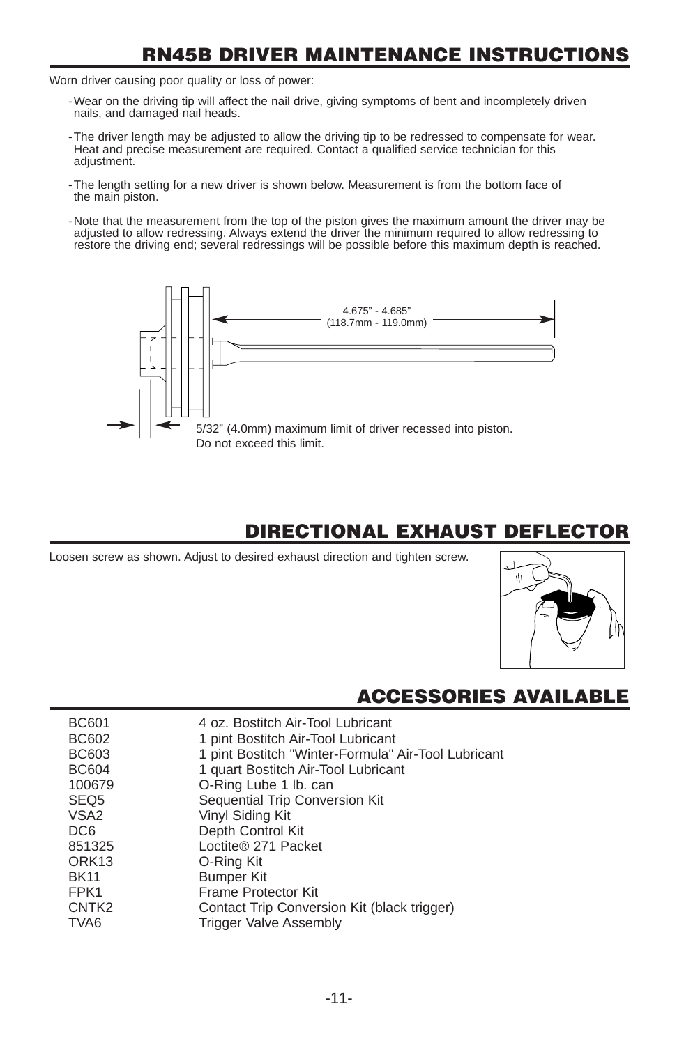### **RN45B DRIVER MAINTENANCE INSTRUCTIONS**

Worn driver causing poor quality or loss of power:

- -Wear on the driving tip will affect the nail drive, giving symptoms of bent and incompletely driven nails, and damaged nail heads.
- -The driver length may be adjusted to allow the driving tip to be redressed to compensate for wear. Heat and precise measurement are required. Contact a qualified service technician for this adiustment.
- -The length setting for a new driver is shown below. Measurement is from the bottom face of the main piston.
- -Note that the measurement from the top of the piston gives the maximum amount the driver may be adjusted to allow redressing. Always extend the driver the minimum required to allow redressing to restore the driving end; several redressings will be possible before this maximum depth is reached.



### **DIRECTIONAL EXHAUST DEFLECTOR**

Loosen screw as shown. Adjust to desired exhaust direction and tighten screw.



### **ACCESSORIES AVAILABI**

| <b>BC601</b>      | 4 oz. Bostitch Air-Tool Lubricant                   |
|-------------------|-----------------------------------------------------|
| <b>BC602</b>      | 1 pint Bostitch Air-Tool Lubricant                  |
| <b>BC603</b>      | 1 pint Bostitch "Winter-Formula" Air-Tool Lubricant |
| <b>BC604</b>      | 1 quart Bostitch Air-Tool Lubricant                 |
| 100679            | O-Ring Lube 1 lb. can                               |
| SEQ <sub>5</sub>  | Sequential Trip Conversion Kit                      |
| VSA <sub>2</sub>  | Vinyl Siding Kit                                    |
| DC <sub>6</sub>   | Depth Control Kit                                   |
| 851325            | Loctite® 271 Packet                                 |
| ORK <sub>13</sub> | O-Ring Kit                                          |
| <b>BK11</b>       | <b>Bumper Kit</b>                                   |
| FPK1              | Frame Protector Kit                                 |
| CNTK <sub>2</sub> | Contact Trip Conversion Kit (black trigger)         |
| TVA6              | <b>Trigger Valve Assembly</b>                       |
|                   |                                                     |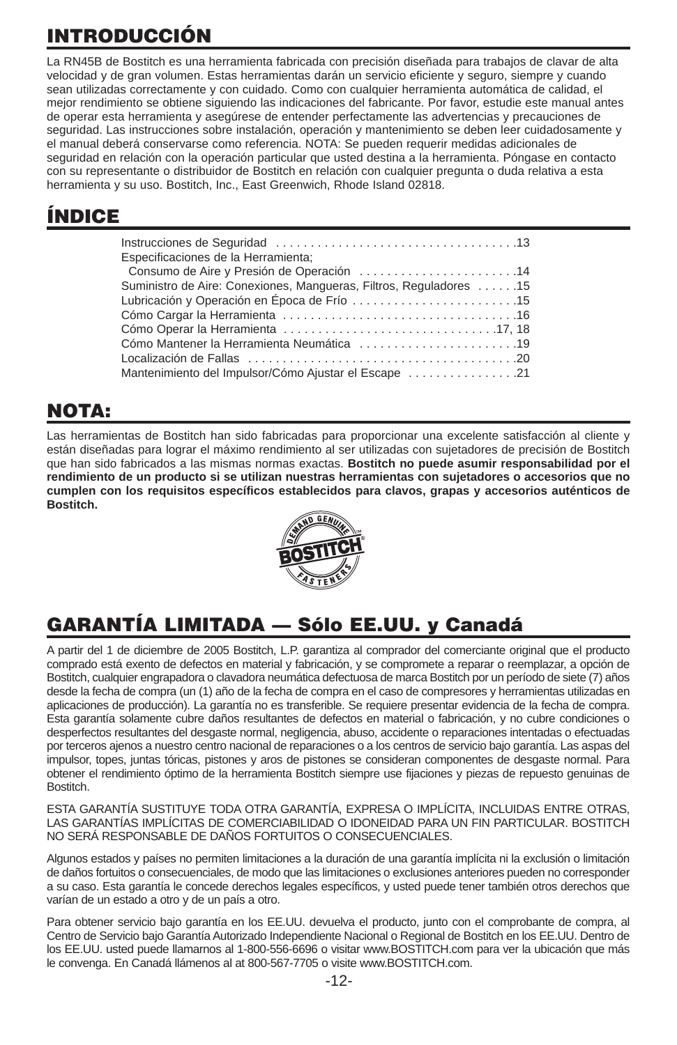# **INTRODUCCIÓN**

La RN45B de Bostitch es una herramienta fabricada con precisión diseñada para trabajos de clavar de alta velocidad y de gran volumen. Estas herramientas darán un servicio eficiente y seguro, siempre y cuando sean utilizadas correctamente y con cuidado. Como con cualquier herramienta automática de calidad, el mejor rendimiento se obtiene siguiendo las indicaciones del fabricante. Por favor, estudie este manual antes de operar esta herramienta y asegúrese de entender perfectamente las advertencias y precauciones de seguridad. Las instrucciones sobre instalación, operación y mantenimiento se deben leer cuidadosamente y el manual deberá conservarse como referencia. NOTA: Se pueden requerir medidas adicionales de seguridad en relación con la operación particular que usted destina a la herramienta. Póngase en contacto con su representante o distribuidor de Bostitch en relación con cualquier pregunta o duda relativa a esta herramienta y su uso. Bostitch, Inc., East Greenwich, Rhode Island 02818.

# **ÍNDICE**

| Especificaciones de la Herramienta;                                |
|--------------------------------------------------------------------|
| Consumo de Aire y Presión de Operación 14                          |
| Suministro de Aire: Conexiones, Mangueras, Filtros, Reguladores 15 |
|                                                                    |
|                                                                    |
|                                                                    |
| Cómo Mantener la Herramienta Neumática 19                          |
|                                                                    |
| Mantenimiento del Impulsor/Cómo Ajustar el Escape 21               |

# **NOTA:**

Las herramientas de Bostitch han sido fabricadas para proporcionar una excelente satisfacción al cliente y están diseñadas para lograr el máximo rendimiento al ser utilizadas con sujetadores de precisión de Bostitch que han sido fabricados a las mismas normas exactas. **Bostitch no puede asumir responsabilidad por el rendimiento de un producto si se utilizan nuestras herramientas con sujetadores o accesorios que no cumplen con los requisitos específicos establecidos para clavos, grapas y accesorios auténticos de Bostitch.**



# **GARANTÍA LIMITADA — Sólo EE.UU. y Canadá**

A partir del 1 de diciembre de 2005 Bostitch, L.P. garantiza al comprador del comerciante original que el producto comprado está exento de defectos en material y fabricación, y se compromete a reparar o reemplazar, a opción de Bostitch, cualquier engrapadora o clavadora neumática defectuosa de marca Bostitch por un período de siete (7) años desde la fecha de compra (un (1) año de la fecha de compra en el caso de compresores y herramientas utilizadas en aplicaciones de producción). La garantía no es transferible. Se requiere presentar evidencia de la fecha de compra. Esta garantía solamente cubre daños resultantes de defectos en material o fabricación, y no cubre condiciones o desperfectos resultantes del desgaste normal, negligencia, abuso, accidente o reparaciones intentadas o efectuadas por terceros ajenos a nuestro centro nacional de reparaciones o a los centros de servicio bajo garantía. Las aspas del impulsor, topes, juntas tóricas, pistones y aros de pistones se consideran componentes de desgaste normal. Para obtener el rendimiento óptimo de la herramienta Bostitch siempre use fijaciones y piezas de repuesto genuinas de Bostitch.

ESTA GARANTÍA SUSTITUYE TODA OTRA GARANTÍA, EXPRESA O IMPLÍCITA, INCLUIDAS ENTRE OTRAS, LAS GARANTÍAS IMPLÍCITAS DE COMERCIABILIDAD O IDONEIDAD PARA UN FIN PARTICULAR. BOSTITCH NO SERÁ RESPONSABLE DE DAÑOS FORTUITOS O CONSECUENCIALES.

Algunos estados y países no permiten limitaciones a la duración de una garantía implícita ni la exclusión o limitación de daños fortuitos o consecuenciales, de modo que las limitaciones o exclusiones anteriores pueden no corresponder a su caso. Esta garantía le concede derechos legales específicos, y usted puede tener también otros derechos que varían de un estado a otro y de un país a otro.

Para obtener servicio bajo garantía en los EE.UU. devuelva el producto, junto con el comprobante de compra, al Centro de Servicio bajo Garantía Autorizado Independiente Nacional o Regional de Bostitch en los EE.UU. Dentro de los EE.UU. usted puede llamarnos al 1-800-556-6696 o visitar www.BOSTITCH.com para ver la ubicación que más le convenga. En Canadá llámenos al at 800-567-7705 o visite www.BOSTITCH.com.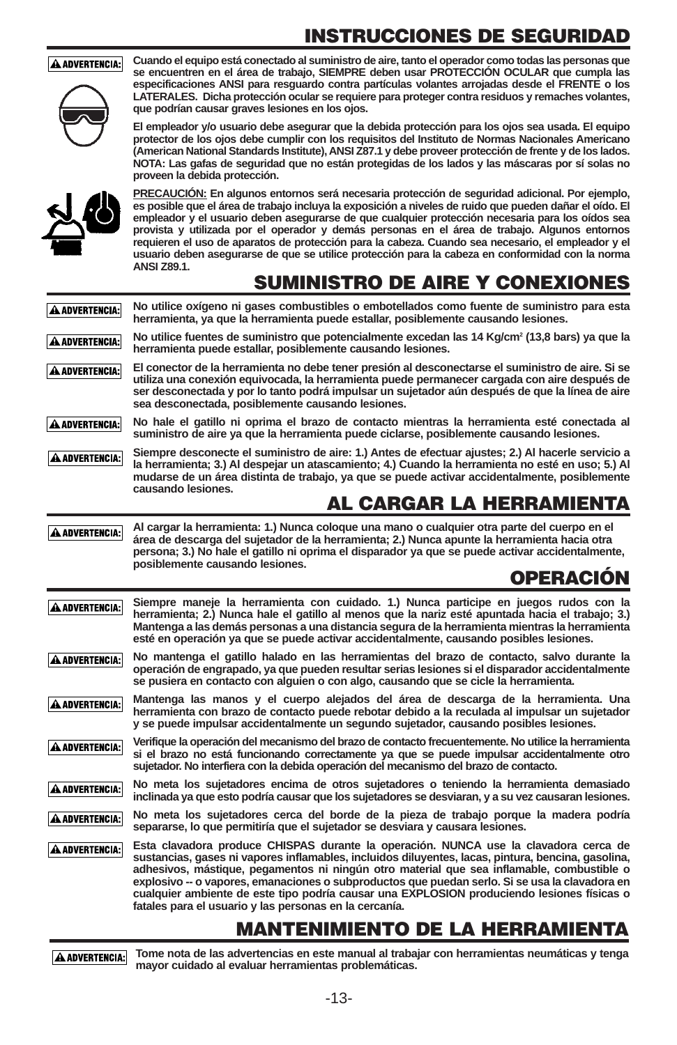# **INSTRUCCIONES DE SEGURIDAD**

A ADVERTENCIA:

**Cuando el equipo está conectado al suministro de aire, tanto el operador como todas las personas que se encuentren en el área de trabajo, SIEMPRE deben usar PROTECCIÓN OCULAR que cumpla las especificaciones ANSI para resguardo contra partículas volantes arrojadas desde el FRENTE o los LATERALES. Dicha protección ocular se requiere para proteger contra residuos y remaches volantes, que podrían causar graves lesiones en los ojos.**

**El empleador y/o usuario debe asegurar que la debida protección para los ojos sea usada. El equipo protector de los ojos debe cumplir con los requisitos del Instituto de Normas Nacionales Americano (American National Standards Institute), ANSI Z87.1 y debe proveer protección de frente y de los lados. NOTA: Las gafas de seguridad que no están protegidas de los lados y las máscaras por sí solas no proveen la debida protección.**



**PRECAUCIÓN: En algunos entornos será necesaria protección de seguridad adicional. Por ejemplo, es posible que el área de trabajo incluya la exposición a niveles de ruido que pueden dañar el oído. El empleador y el usuario deben asegurarse de que cualquier protección necesaria para los oídos sea provista y utilizada por el operador y demás personas en el área de trabajo. Algunos entornos requieren el uso de aparatos de protección para la cabeza. Cuando sea necesario, el empleador y el usuario deben asegurarse de que se utilice protección para la cabeza en conformidad con la norma ANSI Z89.1.**

### **SUMINISTRO DE AIRE Y CONEXIONES**

**No utilice oxígeno ni gases combustibles o embotellados como fuente de suministro para esta** A ADVERTENCIA: **herramienta, ya que la herramienta puede estallar, posiblemente causando lesiones. No utilice fuentes de suministro que potencialmente excedan las 14 Kg/cm2 (13,8 bars) ya que la A ADVERTENCIA: herramienta puede estallar, posiblemente causando lesiones.**

**El conector de la herramienta no debe tener presión al desconectarse el suministro de aire. Si se** A ADVERTENCIA: **utiliza una conexión equivocada, la herramienta puede permanecer cargada con aire después de ser desconectada y por lo tanto podrá impulsar un sujetador aún después de que la línea de aire sea desconectada, posiblemente causando lesiones.**

**No hale el gatillo ni oprima el brazo de contacto mientras la herramienta esté conectada al** A ADVERTENCIA: **suministro de aire ya que la herramienta puede ciclarse, posiblemente causando lesiones.**

**Siempre desconecte el suministro de aire: 1.) Antes de efectuar ajustes; 2.) Al hacerle servicio a** A ADVERTENCIA: **la herramienta; 3.) Al despejar un atascamiento; 4.) Cuando la herramienta no esté en uso; 5.) Al mudarse de un área distinta de trabajo, ya que se puede activar accidentalmente, posiblemente causando lesiones.**

### **AL CARGAR LA HERRAMIENTA**

**Al cargar la herramienta: 1.) Nunca coloque una mano o cualquier otra parte del cuerpo en el** A ADVERTENCIA: **área de descarga del sujetador de la herramienta; 2.) Nunca apunte la herramienta hacia otra persona; 3.) No hale el gatillo ni oprima el disparador ya que se puede activar accidentalmente, posiblemente causando lesiones. OPERACIÓN**

**Siempre maneje la herramienta con cuidado. 1.) Nunca participe en juegos rudos con la** A ADVERTENCIA: **herramienta; 2.) Nunca hale el gatillo al menos que la nariz esté apuntada hacia el trabajo; 3.) Mantenga a las demás personas a una distancia segura de la herramienta mientras la herramienta esté en operación ya que se puede activar accidentalmente, causando posibles lesiones.**

A ADVERTENCIA: **No mantenga el gatillo halado en las herramientas del brazo de contacto, salvo durante la operación de engrapado, ya que pueden resultar serias lesiones si el disparador accidentalmente se pusiera en contacto con alguien o con algo, causando que se cicle la herramienta.**

**Mantenga las manos y el cuerpo alejados del área de descarga de la herramienta. Una** A ADVERTENCIA: **herramienta con brazo de contacto puede rebotar debido a la reculada al impulsar un sujetador y se puede impulsar accidentalmente un segundo sujetador, causando posibles lesiones.**

**Verifique la operación del mecanismo del brazo de contacto frecuentemente. No utilice la herramienta** A ADVERTENCIA: **si el brazo no está funcionando correctamente ya que se puede impulsar accidentalmente otro sujetador. No interfiera con la debida operación del mecanismo del brazo de contacto.**

**No meta los sujetadores encima de otros sujetadores o teniendo la herramienta demasiado** A ADVERTENCIA: **inclinada ya que esto podría causar que los sujetadores se desviaran, y a su vez causaran lesiones.**

**No meta los sujetadores cerca del borde de la pieza de trabajo porque la madera podría** A ADVERTENCIA: **separarse, lo que permitiría que el sujetador se desviara y causara lesiones.**

**Esta clavadora produce CHISPAS durante la operación. NUNCA use la clavadora cerca de** A ADVERTENCIA: **sustancias, gases ni vapores inflamables, incluidos diluyentes, lacas, pintura, bencina, gasolina, adhesivos, mástique, pegamentos ni ningún otro material que sea inflamable, combustible o explosivo -- o vapores, emanaciones o subproductos que puedan serlo. Si se usa la clavadora en cualquier ambiente de este tipo podría causar una EXPLOSION produciendo lesiones físicas o fatales para el usuario y las personas en la cercanía.**

### **MANTENIMIENTO DE LA HERRAMIENTA**

A ADVERTENCIA:

**Tome nota de las advertencias en este manual al trabajar con herramientas neumáticas y tenga mayor cuidado al evaluar herramientas problemáticas.**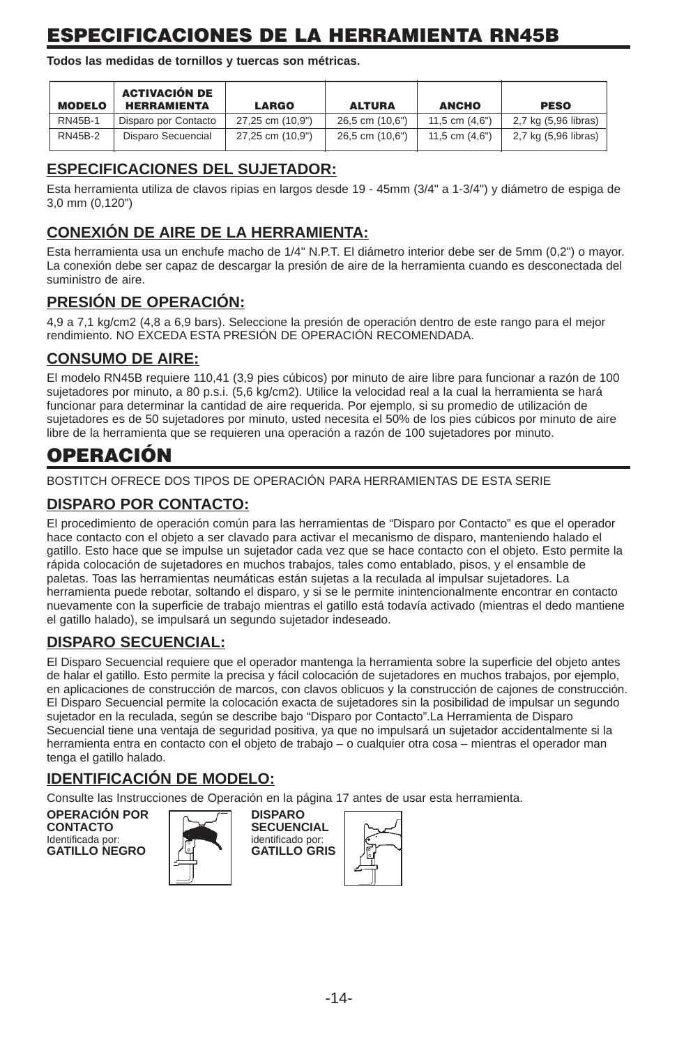# **ESPECIFICACIONES DE LA HERRAMIENTA RN45B**

**Todos las medidas de tornillos y tuercas son métricas.**

| <b>MODELO</b>  | <b>ACTIVACIÓN DE</b><br><b>HERRAMIENTA</b> | <b>LARGO</b>     | <b>ALTURA</b>   | <b>ANCHO</b>     | <b>PESO</b>          |
|----------------|--------------------------------------------|------------------|-----------------|------------------|----------------------|
| <b>RN45B-1</b> | Disparo por Contacto                       | 27.25 cm (10.9") | 26.5 cm (10.6") | 11.5 cm $(4.6")$ | 2,7 kg (5,96 libras) |
| <b>RN45B-2</b> | Disparo Secuencial                         | 27,25 cm (10,9") | 26,5 cm (10,6") | 11,5 cm $(4,6")$ | 2,7 kg (5,96 libras) |

#### **ESPECIFICACIONES DEL SUJETADOR:**

Esta herramienta utiliza de clavos ripias en largos desde 19 - 45mm (3/4" a 1-3/4") y diámetro de espiga de 3,0 mm (0,120")

### **CONEXIÓN DE AIRE DE LA HERRAMIENTA:**

Esta herramienta usa un enchufe macho de 1/4" N.P.T. El diámetro interior debe ser de 5mm (0,2") o mayor. La conexión debe ser capaz de descargar la presión de aire de la herramienta cuando es desconectada del suministro de aire.

#### **PRESIÓN DE OPERACIÓN:**

4,9 a 7,1 kg/cm2 (4,8 a 6,9 bars). Seleccione la presión de operación dentro de este rango para el mejor rendimiento. NO EXCEDA ESTA PRESIÓN DE OPERACIÓN RECOMENDADA.

#### **CONSUMO DE AIRE:**

El modelo RN45B requiere 110,41 (3,9 pies cúbicos) por minuto de aire libre para funcionar a razón de 100 sujetadores por minuto, a 80 p.s.i. (5,6 kg/cm2). Utilice la velocidad real a la cual la herramienta se hará funcionar para determinar la cantidad de aire requerida. Por ejemplo, si su promedio de utilización de sujetadores es de 50 sujetadores por minuto, usted necesita el 50% de los pies cúbicos por minuto de aire libre de la herramienta que se requieren una operación a razón de 100 sujetadores por minuto.

### **OPERACIÓN**

BOSTITCH OFRECE DOS TIPOS DE OPERACIÓN PARA HERRAMIENTAS DE ESTA SERIE

### **DISPARO POR CONTACTO:**

El procedimiento de operación común para las herramientas de "Disparo por Contacto" es que el operador hace contacto con el objeto a ser clavado para activar el mecanismo de disparo, manteniendo halado el gatillo. Esto hace que se impulse un sujetador cada vez que se hace contacto con el objeto. Esto permite la rápida colocación de sujetadores en muchos trabajos, tales como entablado, pisos, y el ensamble de paletas. Toas las herramientas neumáticas están sujetas a la reculada al impulsar sujetadores. La herramienta puede rebotar, soltando el disparo, y si se le permite inintencionalmente encontrar en contacto nuevamente con la superficie de trabajo mientras el gatillo está todavía activado (mientras el dedo mantiene el gatillo halado), se impulsará un segundo sujetador indeseado.

#### **DISPARO SECUENCIAL:**

El Disparo Secuencial requiere que el operador mantenga la herramienta sobre la superficie del objeto antes de halar el gatillo. Esto permite la precisa y fácil colocación de sujetadores en muchos trabajos, por ejemplo, en aplicaciones de construcción de marcos, con clavos oblicuos y la construcción de cajones de construcción. El Disparo Secuencial permite la colocación exacta de sujetadores sin la posibilidad de impulsar un segundo sujetador en la reculada, según se describe bajo "Disparo por Contacto".La Herramienta de Disparo Secuencial tiene una ventaja de seguridad positiva, ya que no impulsará un sujetador accidentalmente si la herramienta entra en contacto con el objeto de trabajo – o cualquier otra cosa – mientras el operador man tenga el gatillo halado.

#### **IDENTIFICACIÓN DE MODELO:**

Consulte las Instrucciones de Operación en la página 17 antes de usar esta herramienta.

**OPERACIÓN POR DISPARO CONTACTO SECUENCIAL**<br>Identificada por: **SECUENCIAL GATILLO NEGRO** 



identificado por:<br>GATILLO GRIS

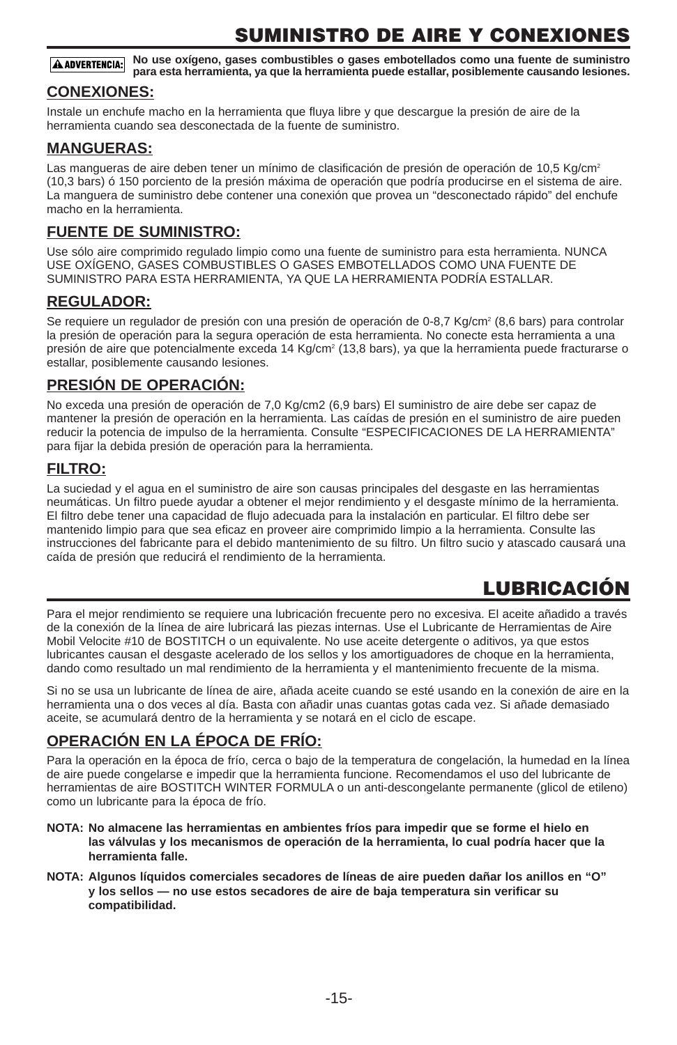## **SUMINISTRO DE AIRE Y CONEXIONES**

**No use oxígeno, gases combustibles o gases embotellados como una fuente de suministro A ADVERTENCIA: para esta herramienta, ya que la herramienta puede estallar, posiblemente causando lesiones.**

#### **CONEXIONES:**

Instale un enchufe macho en la herramienta que fluya libre y que descargue la presión de aire de la herramienta cuando sea desconectada de la fuente de suministro.

#### **MANGUERAS:**

Las mangueras de aire deben tener un mínimo de clasificación de presión de operación de 10,5 Kg/cm<sup>2</sup> (10,3 bars) ó 150 porciento de la presión máxima de operación que podría producirse en el sistema de aire. La manguera de suministro debe contener una conexión que provea un "desconectado rápido" del enchufe macho en la herramienta.

#### **FUENTE DE SUMINISTRO:**

Use sólo aire comprimido regulado limpio como una fuente de suministro para esta herramienta. NUNCA USE OXÍGENO, GASES COMBUSTIBLES O GASES EMBOTELLADOS COMO UNA FUENTE DE SUMINISTRO PARA ESTA HERRAMIENTA, YA QUE LA HERRAMIENTA PODRÍA ESTALLAR.

#### **REGULADOR:**

Se requiere un regulador de presión con una presión de operación de 0-8,7 Kg/cm<sup>2</sup> (8,6 bars) para controlar la presión de operación para la segura operación de esta herramienta. No conecte esta herramienta a una presión de aire que potencialmente exceda 14 Kg/cm<sup>2</sup> (13,8 bars), ya que la herramienta puede fracturarse o estallar, posiblemente causando lesiones.

#### **PRESIÓN DE OPERACIÓN:**

No exceda una presión de operación de 7,0 Kg/cm2 (6,9 bars) El suministro de aire debe ser capaz de mantener la presión de operación en la herramienta. Las caídas de presión en el suministro de aire pueden reducir la potencia de impulso de la herramienta. Consulte "ESPECIFICACIONES DE LA HERRAMIENTA" para fijar la debida presión de operación para la herramienta.

#### **FILTRO:**

La suciedad y el agua en el suministro de aire son causas principales del desgaste en las herramientas neumáticas. Un filtro puede ayudar a obtener el mejor rendimiento y el desgaste mínimo de la herramienta. El filtro debe tener una capacidad de flujo adecuada para la instalación en particular. El filtro debe ser mantenido limpio para que sea eficaz en proveer aire comprimido limpio a la herramienta. Consulte las instrucciones del fabricante para el debido mantenimiento de su filtro. Un filtro sucio y atascado causará una caída de presión que reducirá el rendimiento de la herramienta.

# **LUBRICACIÓN**

Para el mejor rendimiento se requiere una lubricación frecuente pero no excesiva. El aceite añadido a través de la conexión de la línea de aire lubricará las piezas internas. Use el Lubricante de Herramientas de Aire Mobil Velocite #10 de BOSTITCH o un equivalente. No use aceite detergente o aditivos, ya que estos lubricantes causan el desgaste acelerado de los sellos y los amortiguadores de choque en la herramienta, dando como resultado un mal rendimiento de la herramienta y el mantenimiento frecuente de la misma.

Si no se usa un lubricante de línea de aire, añada aceite cuando se esté usando en la conexión de aire en la herramienta una o dos veces al día. Basta con añadir unas cuantas gotas cada vez. Si añade demasiado aceite, se acumulará dentro de la herramienta y se notará en el ciclo de escape.

#### **OPERACIÓN EN LA ÉPOCA DE FRÍO:**

Para la operación en la época de frío, cerca o bajo de la temperatura de congelación, la humedad en la línea de aire puede congelarse e impedir que la herramienta funcione. Recomendamos el uso del lubricante de herramientas de aire BOSTITCH WINTER FORMULA o un anti-descongelante permanente (glicol de etileno) como un lubricante para la época de frío.

- **NOTA: No almacene las herramientas en ambientes fríos para impedir que se forme el hielo en las válvulas y los mecanismos de operación de la herramienta, lo cual podría hacer que la herramienta falle.**
- **NOTA: Algunos líquidos comerciales secadores de líneas de aire pueden dañar los anillos en "O" y los sellos — no use estos secadores de aire de baja temperatura sin verificar su compatibilidad.**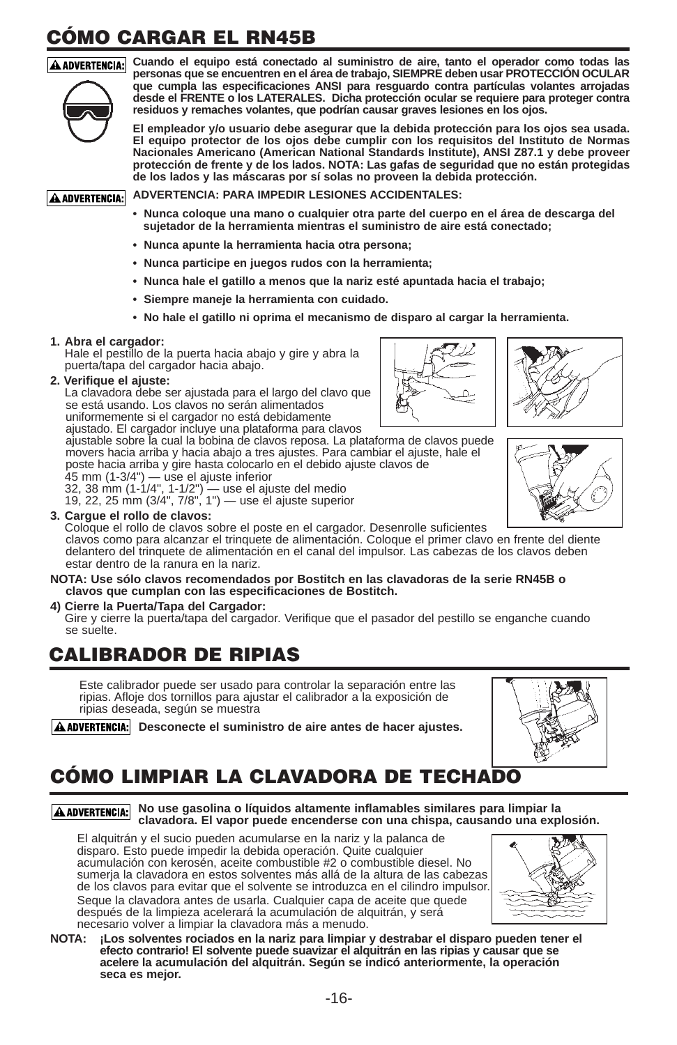# **CÓMO CARGAR EL RN45B**



**Cuando el equipo está conectado al suministro de aire, tanto el operador como todas las personas que se encuentren en el área de trabajo, SIEMPRE deben usar PROTECCIÓN OCULAR que cumpla las especificaciones ANSI para resguardo contra partículas volantes arrojadas desde el FRENTE o los LATERALES. Dicha protección ocular se requiere para proteger contra residuos y remaches volantes, que podrían causar graves lesiones en los ojos.**

> **El empleador y/o usuario debe asegurar que la debida protección para los ojos sea usada. El equipo protector de los ojos debe cumplir con los requisitos del Instituto de Normas Nacionales Americano (American National Standards Institute), ANSI Z87.1 y debe proveer protección de frente y de los lados. NOTA: Las gafas de seguridad que no están protegidas de los lados y las máscaras por sí solas no proveen la debida protección.**

**ADVERTENCIA: PARA IMPEDIR LESIONES ACCIDENTALES:** A ADVERTENCIA:

- **Nunca coloque una mano o cualquier otra parte del cuerpo en el área de descarga del sujetador de la herramienta mientras el suministro de aire está conectado;**
- **Nunca apunte la herramienta hacia otra persona;**
- **Nunca participe en juegos rudos con la herramienta;**
- **Nunca hale el gatillo a menos que la nariz esté apuntada hacia el trabajo;**
- **Siempre maneje la herramienta con cuidado.**
- **No hale el gatillo ni oprima el mecanismo de disparo al cargar la herramienta.**

#### **1. Abra el cargador:**

Hale el pestillo de la puerta hacia abajo y gire y abra la puerta/tapa del cargador hacia abajo.

#### **2. Verifique el ajuste:**

La clavadora debe ser ajustada para el largo del clavo que se está usando. Los clavos no serán alimentados

uniformemente si el cargador no está debidamente

ajustado. El cargador incluye una plataforma para clavos ajustable sobre la cual la bobina de clavos reposa. La plataforma de clavos puede movers hacia arriba y hacia abajo a tres ajustes. Para cambiar el ajuste, hale el poste hacia arriba y gire hasta colocarlo en el debido ajuste clavos de 45 mm (1-3/4") — use el ajuste inferior

32, 38 mm (1-1/4", 1-1/2") — use el ajuste del medio 19, 22, 25 mm (3/4", 7/8", 1") — use el ajuste superior

#### **3. Cargue el rollo de clavos:**

Coloque el rollo de clavos sobre el poste en el cargador. Desenrolle suficientes clavos como para alcanzar el trinquete de alimentación. Coloque el primer clavo en frente del diente delantero del trinquete de alimentación en el canal del impulsor. Las cabezas de los clavos deben estar dentro de la ranura en la nariz.

#### **NOTA: Use sólo clavos recomendados por Bostitch en las clavadoras de la serie RN45B o clavos que cumplan con las especificaciones de Bostitch.**

#### **4) Cierre la Puerta/Tapa del Cargador:**

Gire y cierre la puerta/tapa del cargador. Verifique que el pasador del pestillo se enganche cuando se suelte.

### **CALIBRADOR DE RIPIAS**

Este calibrador puede ser usado para controlar la separación entre las ripias. Afloje dos tornillos para ajustar el calibrador a la exposición de ripias deseada, según se muestra

A ADVERTENCIA: Desconecte el suministro de aire antes de hacer ajustes.

# **CÓMO LIMPIAR LA CLAVADORA DE TECHADO**

**No use gasolina o líquidos altamente inflamables similares para limpiar la clavadora. El vapor puede encenderse con una chispa, causando una explosión.**

El alquitrán y el sucio pueden acumularse en la nariz y la palanca de disparo. Esto puede impedir la debida operación. Quite cualquier acumulación con kerosén, aceite combustible #2 o combustible diesel. No sumeria la clavadora en estos solventes más allá de la altura de las cabezas de los clavos para evitar que el solvente se introduzca en el cilindro impulsor. Seque la clavadora antes de usarla. Cualquier capa de aceite que quede después de la limpieza acelerará la acumulación de alquitrán, y será necesario volver a limpiar la clavadora más a menudo.



**NOTA: ¡Los solventes rociados en la nariz para limpiar y destrabar el disparo pueden tener el efecto contrario! El solvente puede suavizar el alquitrán en las ripias y causar que se acelere la acumulación del alquitrán. Según se indicó anteriormente, la operación seca es mejor.**







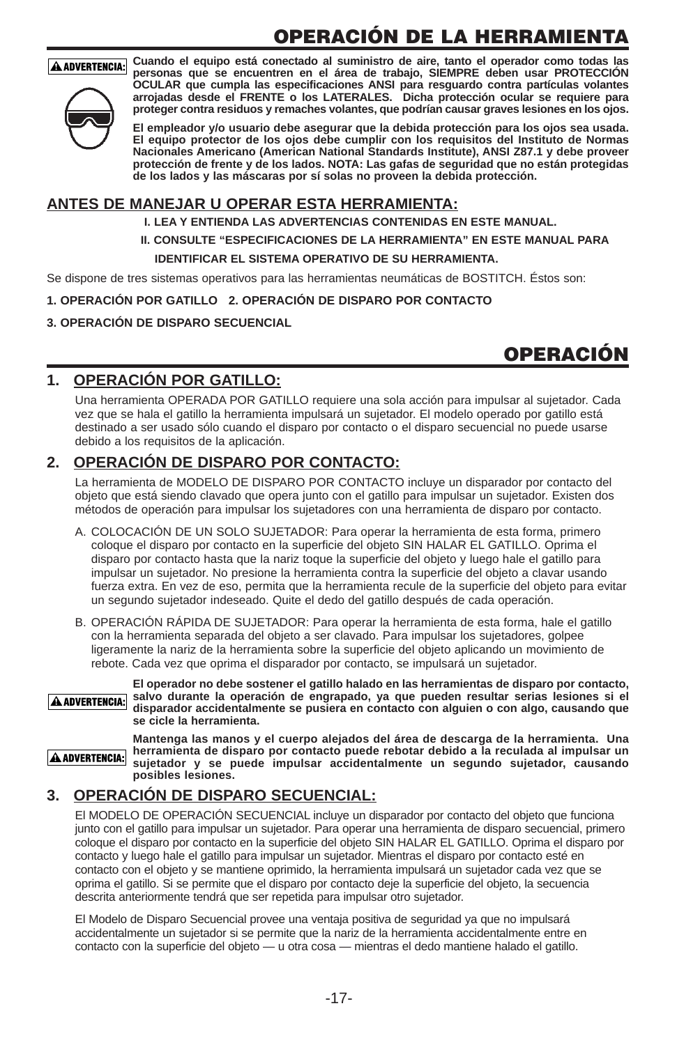# **OPERACIÓN DE LA HERRAMIENTA**

#### **A ADVERTENCIA:**



**Cuando el equipo está conectado al suministro de aire, tanto el operador como todas las personas que se encuentren en el área de trabajo, SIEMPRE deben usar PROTECCIÓN OCULAR que cumpla las especificaciones ANSI para resguardo contra partículas volantes arrojadas desde el FRENTE o los LATERALES. Dicha protección ocular se requiere para proteger contra residuos y remaches volantes, que podrían causar graves lesiones en los ojos.**

**El empleador y/o usuario debe asegurar que la debida protección para los ojos sea usada. El equipo protector de los ojos debe cumplir con los requisitos del Instituto de Normas Nacionales Americano (American National Standards Institute), ANSI Z87.1 y debe proveer protección de frente y de los lados. NOTA: Las gafas de seguridad que no están protegidas de los lados y las máscaras por sí solas no proveen la debida protección.**

#### **ANTES DE MANEJAR U OPERAR ESTA HERRAMIENTA:**

- **I. LEA Y ENTIENDA LAS ADVERTENCIAS CONTENIDAS EN ESTE MANUAL.**
- **II. CONSULTE "ESPECIFICACIONES DE LA HERRAMIENTA" EN ESTE MANUAL PARA IDENTIFICAR EL SISTEMA OPERATIVO DE SU HERRAMIENTA.**

Se dispone de tres sistemas operativos para las herramientas neumáticas de BOSTITCH. Éstos son:

#### **1. OPERACIÓN POR GATILLO 2. OPERACIÓN DE DISPARO POR CONTACTO**

#### **3. OPERACIÓN DE DISPARO SECUENCIAL**

### **OPERACIÓN**

#### **1. OPERACIÓN POR GATILLO:**

Una herramienta OPERADA POR GATILLO requiere una sola acción para impulsar al sujetador. Cada vez que se hala el gatillo la herramienta impulsará un sujetador. El modelo operado por gatillo está destinado a ser usado sólo cuando el disparo por contacto o el disparo secuencial no puede usarse debido a los requisitos de la aplicación.

#### **2. OPERACIÓN DE DISPARO POR CONTACTO:**

La herramienta de MODELO DE DISPARO POR CONTACTO incluye un disparador por contacto del objeto que está siendo clavado que opera junto con el gatillo para impulsar un sujetador. Existen dos métodos de operación para impulsar los sujetadores con una herramienta de disparo por contacto.

- A. COLOCACIÓN DE UN SOLO SUJETADOR: Para operar la herramienta de esta forma, primero coloque el disparo por contacto en la superficie del objeto SIN HALAR EL GATILLO. Oprima el disparo por contacto hasta que la nariz toque la superficie del objeto y luego hale el gatillo para impulsar un sujetador. No presione la herramienta contra la superficie del objeto a clavar usando fuerza extra. En vez de eso, permita que la herramienta recule de la superficie del objeto para evitar un segundo sujetador indeseado. Quite el dedo del gatillo después de cada operación.
- B. OPERACIÓN RÁPIDA DE SUJETADOR: Para operar la herramienta de esta forma, hale el gatillo con la herramienta separada del objeto a ser clavado. Para impulsar los sujetadores, golpee ligeramente la nariz de la herramienta sobre la superficie del objeto aplicando un movimiento de rebote. Cada vez que oprima el disparador por contacto, se impulsará un sujetador.



**El operador no debe sostener el gatillo halado en las herramientas de disparo por contacto, salvo durante la operación de engrapado, ya que pueden resultar serias lesiones si el disparador accidentalmente se pusiera en contacto con alguien o con algo, causando que se cicle la herramienta.**

A ADVERTENCIA:

**Mantenga las manos y el cuerpo alejados del área de descarga de la herramienta. Una herramienta de disparo por contacto puede rebotar debido a la reculada al impulsar un sujetador y se puede impulsar accidentalmente un segundo sujetador, causando posibles lesiones.**

#### **3. OPERACIÓN DE DISPARO SECUENCIAL:**

El MODELO DE OPERACIÓN SECUENCIAL incluye un disparador por contacto del objeto que funciona junto con el gatillo para impulsar un sujetador. Para operar una herramienta de disparo secuencial, primero coloque el disparo por contacto en la superficie del objeto SIN HALAR EL GATILLO. Oprima el disparo por contacto y luego hale el gatillo para impulsar un sujetador. Mientras el disparo por contacto esté en contacto con el objeto y se mantiene oprimido, la herramienta impulsará un sujetador cada vez que se oprima el gatillo. Si se permite que el disparo por contacto deje la superficie del objeto, la secuencia descrita anteriormente tendrá que ser repetida para impulsar otro sujetador.

El Modelo de Disparo Secuencial provee una ventaja positiva de seguridad ya que no impulsará accidentalmente un sujetador si se permite que la nariz de la herramienta accidentalmente entre en contacto con la superficie del objeto — u otra cosa — mientras el dedo mantiene halado el gatillo.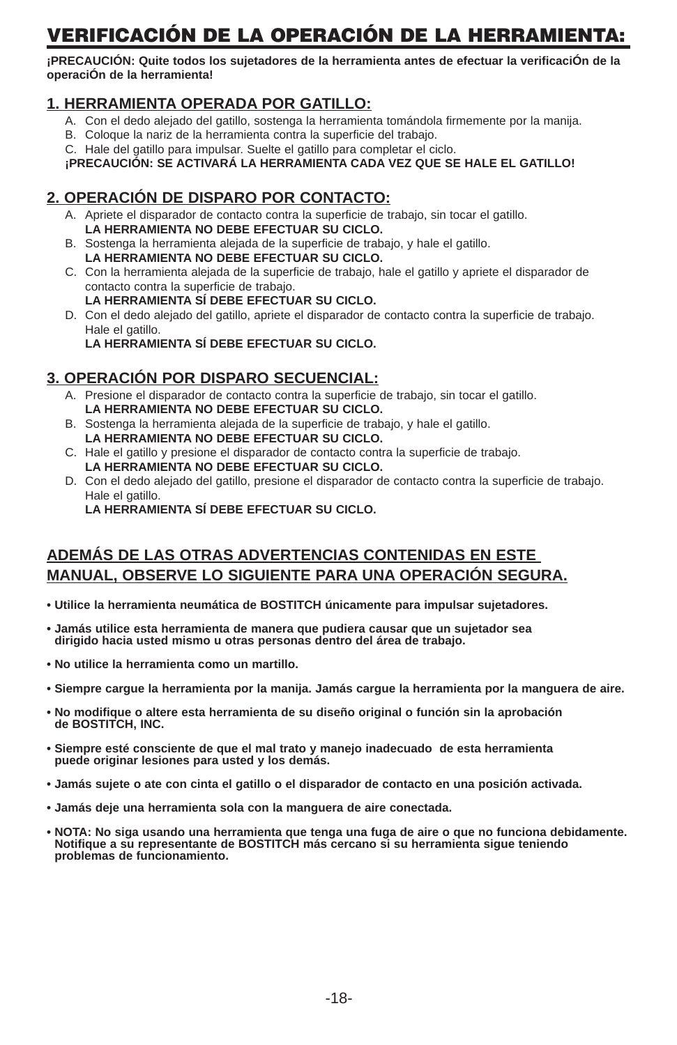# **VERIFICACIÓN DE LA OPERACIÓN DE LA HERRAMIENTA:**

**¡PRECAUCIÓN: Quite todos los sujetadores de la herramienta antes de efectuar la verificaciÓn de la operaciÓn de la herramienta!**

#### **1. HERRAMIENTA OPERADA POR GATILLO:**

- A. Con el dedo alejado del gatillo, sostenga la herramienta tomándola firmemente por la manija.
- B. Coloque la nariz de la herramienta contra la superficie del trabajo.
- C. Hale del gatillo para impulsar. Suelte el gatillo para completar el ciclo.

**¡PRECAUCIÓN: SE ACTIVARÁ LA HERRAMIENTA CADA VEZ QUE SE HALE EL GATILLO!**

#### **2. OPERACIÓN DE DISPARO POR CONTACTO:**

- A. Apriete el disparador de contacto contra la superficie de trabajo, sin tocar el gatillo. **LA HERRAMIENTA NO DEBE EFECTUAR SU CICLO.**
- B. Sostenga la herramienta alejada de la superficie de trabajo, y hale el gatillo. **LA HERRAMIENTA NO DEBE EFECTUAR SU CICLO.**
- C. Con la herramienta alejada de la superficie de trabajo, hale el gatillo y apriete el disparador de contacto contra la superficie de trabajo.
- **LA HERRAMIENTA SÍ DEBE EFECTUAR SU CICLO.** D. Con el dedo alejado del gatillo, apriete el disparador de contacto contra la superficie de trabajo. Hale el gatillo.

**LA HERRAMIENTA SÍ DEBE EFECTUAR SU CICLO.**

#### **3. OPERACIÓN POR DISPARO SECUENCIAL:**

- A. Presione el disparador de contacto contra la superficie de trabajo, sin tocar el gatillo. **LA HERRAMIENTA NO DEBE EFECTUAR SU CICLO.**
- B. Sostenga la herramienta alejada de la superficie de trabajo, y hale el gatillo. **LA HERRAMIENTA NO DEBE EFECTUAR SU CICLO.**
- C. Hale el gatillo y presione el disparador de contacto contra la superficie de trabajo. **LA HERRAMIENTA NO DEBE EFECTUAR SU CICLO.**
- D. Con el dedo alejado del gatillo, presione el disparador de contacto contra la superficie de trabajo. Hale el gatillo.
	- **LA HERRAMIENTA SÍ DEBE EFECTUAR SU CICLO.**

#### **ADEMÁS DE LAS OTRAS ADVERTENCIAS CONTENIDAS EN ESTE MANUAL, OBSERVE LO SIGUIENTE PARA UNA OPERACIÓN SEGURA.**

**• Utilice la herramienta neumática de BOSTITCH únicamente para impulsar sujetadores.**

- **Jamás utilice esta herramienta de manera que pudiera causar que un sujetador sea dirigido hacia usted mismo u otras personas dentro del área de trabajo.**
- **No utilice la herramienta como un martillo.**
- **Siempre cargue la herramienta por la manija. Jamás cargue la herramienta por la manguera de aire.**
- **No modifique o altere esta herramienta de su diseño original o función sin la aprobación de BOSTITCH, INC.**
- **Siempre esté consciente de que el mal trato y manejo inadecuado de esta herramienta puede originar lesiones para usted y los demás.**
- **Jamás sujete o ate con cinta el gatillo o el disparador de contacto en una posición activada.**
- **Jamás deje una herramienta sola con la manguera de aire conectada.**
- **NOTA: No siga usando una herramienta que tenga una fuga de aire o que no funciona debidamente. Notifique a su representante de BOSTITCH más cercano si su herramienta sigue teniendo problemas de funcionamiento.**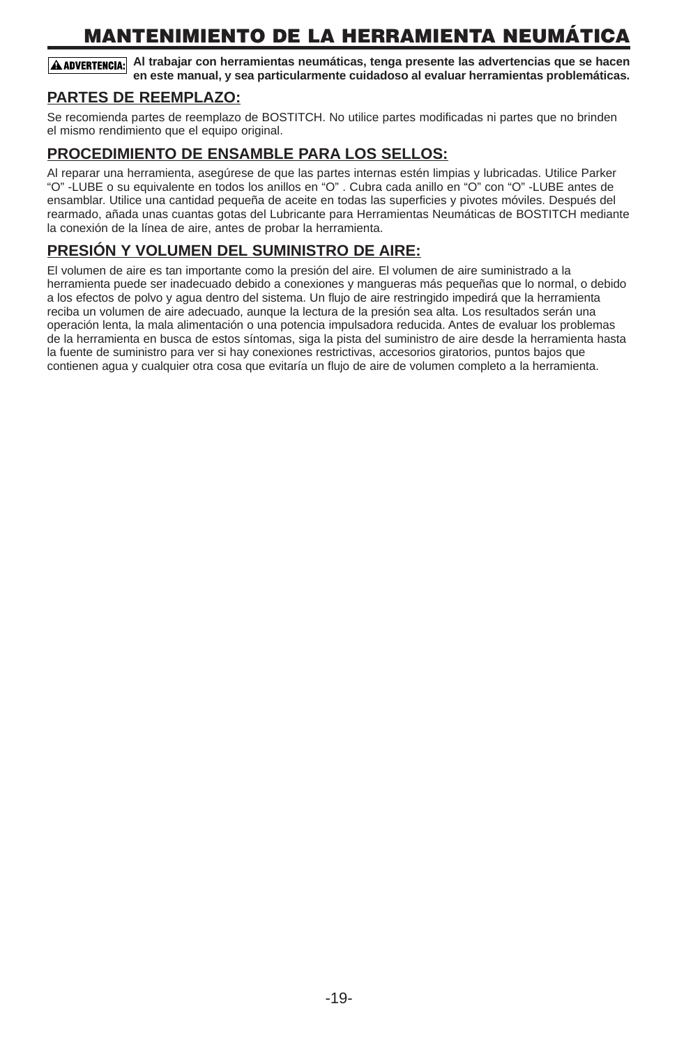# **MANTENIMIENTO DE LA HERRAMIENTA NEUMÁTICA**

**Al trabajar con herramientas neumáticas, tenga presente las advertencias que se hacen en este manual, y sea particularmente cuidadoso al evaluar herramientas problemáticas.**

#### **PARTES DE REEMPLAZO:**

Se recomienda partes de reemplazo de BOSTITCH. No utilice partes modificadas ni partes que no brinden el mismo rendimiento que el equipo original.

#### **PROCEDIMIENTO DE ENSAMBLE PARA LOS SELLOS:**

Al reparar una herramienta, asegúrese de que las partes internas estén limpias y lubricadas. Utilice Parker "O" -LUBE o su equivalente en todos los anillos en "O" . Cubra cada anillo en "O" con "O" -LUBE antes de ensamblar. Utilice una cantidad pequeña de aceite en todas las superficies y pivotes móviles. Después del rearmado, añada unas cuantas gotas del Lubricante para Herramientas Neumáticas de BOSTITCH mediante la conexión de la línea de aire, antes de probar la herramienta.

#### **PRESIÓN Y VOLUMEN DEL SUMINISTRO DE AIRE:**

El volumen de aire es tan importante como la presión del aire. El volumen de aire suministrado a la herramienta puede ser inadecuado debido a conexiones y mangueras más pequeñas que lo normal, o debido a los efectos de polvo y agua dentro del sistema. Un flujo de aire restringido impedirá que la herramienta reciba un volumen de aire adecuado, aunque la lectura de la presión sea alta. Los resultados serán una operación lenta, la mala alimentación o una potencia impulsadora reducida. Antes de evaluar los problemas de la herramienta en busca de estos síntomas, siga la pista del suministro de aire desde la herramienta hasta la fuente de suministro para ver si hay conexiones restrictivas, accesorios giratorios, puntos bajos que contienen agua y cualquier otra cosa que evitaría un flujo de aire de volumen completo a la herramienta.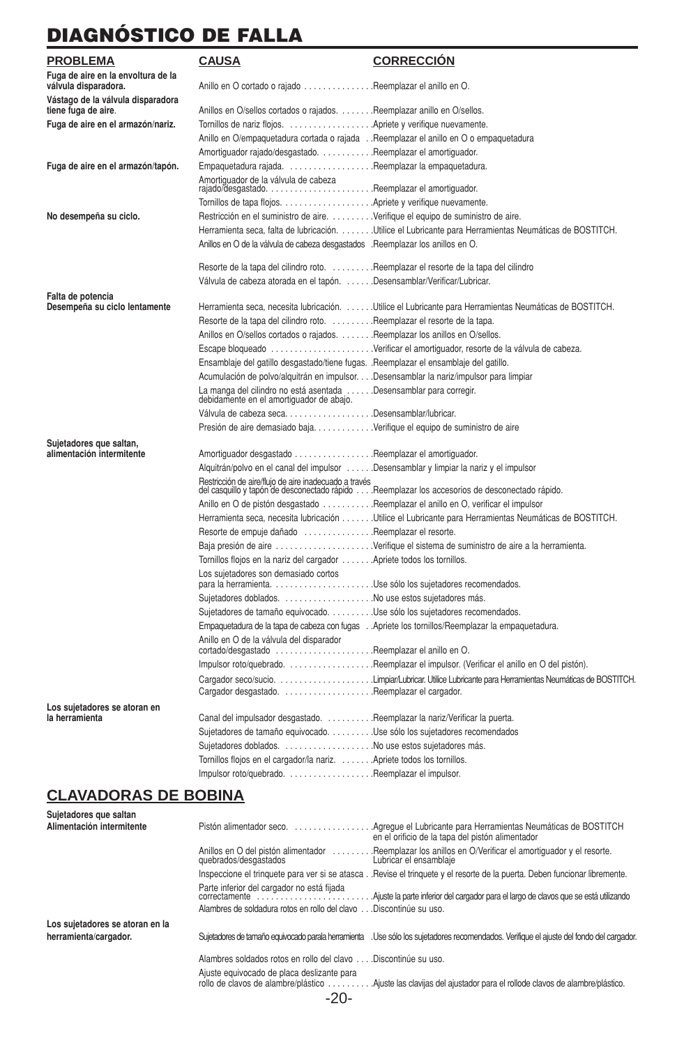# **DIAGNÓSTICO DE FALLA**

| Anillo en O cortado o rajado Reemplazar el anillo en O.<br>Anillos en O/sellos cortados o rajados. Reemplazar anillo en O/sellos.<br>Tornillos de nariz flojos.  Apriete y verifique nuevamente.<br>Anillo en O/empaquetadura cortada o rajadaReemplazar el anillo en O o empaquetadura<br>Amortiguador rajado/desgastado. Reemplazar el amortiguador.<br>Empaquetadura rajada. Reemplazar la empaquetadura.<br>Fuga de aire en el armazón/tapón.<br>Amortiguador de la válvula de cabeza<br>Restricción en el suministro de aire. Verifique el equipo de suministro de aire.<br>No desempeña su ciclo.<br>Herramienta seca, falta de lubricación. Utilice el Lubricante para Herramientas Neumáticas de BOSTITCH.<br>Anillos en O de la válvula de cabeza desgastados .Reemplazar los anillos en O.<br>Resorte de la tapa del cilindro roto. Reemplazar el resorte de la tapa del cilindro<br>Válvula de cabeza atorada en el tapón. Desensamblar/Verificar/Lubricar.<br>Herramienta seca, necesita lubricación. Utilice el Lubricante para Herramientas Neumáticas de BOSTITCH.<br>Desempeña su ciclo lentamente<br>Resorte de la tapa del cilindro roto. Reemplazar el resorte de la tapa.<br>Anillos en O/sellos cortados o rajados. Reemplazar los anillos en O/sellos.<br>Escape bloqueado Verificar el amortiguador, resorte de la válvula de cabeza.<br>Ensamblaje del gatillo desgastado/tiene fugas. .Reemplazar el ensamblaje del gatillo.<br>Acumulación de polvo/alquitrán en impulsor. Desensamblar la nariz/impulsor para limpiar<br>La manga del cilindro no está asentada Desensamblar para corregir.<br>debidamente en el amortiguador de abajo.<br>Válvula de cabeza seca. Desensamblar/lubricar.<br>Presión de aire demasiado bajaVerifique el equipo de suministro de aire<br>alimentación intermitente<br>Amortiguador desgastado Reemplazar el amortiguador.<br>Alquitrán/polvo en el canal del impulsor Desensamblar y limpiar la nariz y el impulsor<br>Restricción de aire/flujo de aire inadecuado a través<br>del casquillo y tapón de desconectado rápido Reemplazar los accesorios de desconectado rápido.<br>Anillo en O de pistón desgastado Reemplazar el anillo en O, verificar el impulsor<br>Herramienta seca, necesita lubricación Utilice el Lubricante para Herramientas Neumáticas de BOSTITCH.<br>Resorte de empuje dañado Reemplazar el resorte.<br>Baja presión de aire Verifique el sistema de suministro de aire a la herramienta.<br>Tornillos flojos en la nariz del cargador  Apriete todos los tornillos.<br>Los sujetadores son demasiado cortos<br>Sujetadores doblados. No use estos sujetadores más.<br>Sujetadores de tamaño equivocado. Use sólo los sujetadores recomendados.<br>Empaquetadura de la tapa de cabeza con fugas Apriete los tornillos/Reemplazar la empaquetadura.<br>Anillo en O de la válvula del disparador<br>cortado/desgastado Reemplazar el anillo en O.<br>Cargador seco/sucio. Limpiar/Lubricar. Utilice Lubricante para Herramientas Neumáticas de BOSTITCH.<br>Canal del impulsador desgastado. Reemplazar la nariz/Verificar la puerta.<br>Sujetadores de tamaño equivocado. Use sólo los sujetadores recomendados<br>Sujetadores doblados. No use estos sujetadores más. | PROBLEMA                                                   | <b>CAUSA</b> | <b>CORRECCION</b> |
|-------------------------------------------------------------------------------------------------------------------------------------------------------------------------------------------------------------------------------------------------------------------------------------------------------------------------------------------------------------------------------------------------------------------------------------------------------------------------------------------------------------------------------------------------------------------------------------------------------------------------------------------------------------------------------------------------------------------------------------------------------------------------------------------------------------------------------------------------------------------------------------------------------------------------------------------------------------------------------------------------------------------------------------------------------------------------------------------------------------------------------------------------------------------------------------------------------------------------------------------------------------------------------------------------------------------------------------------------------------------------------------------------------------------------------------------------------------------------------------------------------------------------------------------------------------------------------------------------------------------------------------------------------------------------------------------------------------------------------------------------------------------------------------------------------------------------------------------------------------------------------------------------------------------------------------------------------------------------------------------------------------------------------------------------------------------------------------------------------------------------------------------------------------------------------------------------------------------------------------------------------------------------------------------------------------------------------------------------------------------------------------------------------------------------------------------------------------------------------------------------------------------------------------------------------------------------------------------------------------------------------------------------------------------------------------------------------------------------------------------------------------------------------------------------------------------------------------------------------------------------------------------------------------------------------------------------------------------------------------------------------------------------------------------------------------------------------------------------------------------------------------------------------------------------------------------------------------------------------------------------------------|------------------------------------------------------------|--------------|-------------------|
|                                                                                                                                                                                                                                                                                                                                                                                                                                                                                                                                                                                                                                                                                                                                                                                                                                                                                                                                                                                                                                                                                                                                                                                                                                                                                                                                                                                                                                                                                                                                                                                                                                                                                                                                                                                                                                                                                                                                                                                                                                                                                                                                                                                                                                                                                                                                                                                                                                                                                                                                                                                                                                                                                                                                                                                                                                                                                                                                                                                                                                                                                                                                                                                                                                                             | Fuga de aire en la envoltura de la<br>válvula disparadora. |              |                   |
|                                                                                                                                                                                                                                                                                                                                                                                                                                                                                                                                                                                                                                                                                                                                                                                                                                                                                                                                                                                                                                                                                                                                                                                                                                                                                                                                                                                                                                                                                                                                                                                                                                                                                                                                                                                                                                                                                                                                                                                                                                                                                                                                                                                                                                                                                                                                                                                                                                                                                                                                                                                                                                                                                                                                                                                                                                                                                                                                                                                                                                                                                                                                                                                                                                                             | Vástago de la válvula disparadora<br>tiene fuga de aire.   |              |                   |
|                                                                                                                                                                                                                                                                                                                                                                                                                                                                                                                                                                                                                                                                                                                                                                                                                                                                                                                                                                                                                                                                                                                                                                                                                                                                                                                                                                                                                                                                                                                                                                                                                                                                                                                                                                                                                                                                                                                                                                                                                                                                                                                                                                                                                                                                                                                                                                                                                                                                                                                                                                                                                                                                                                                                                                                                                                                                                                                                                                                                                                                                                                                                                                                                                                                             | Fuga de aire en el armazón/nariz.                          |              |                   |
|                                                                                                                                                                                                                                                                                                                                                                                                                                                                                                                                                                                                                                                                                                                                                                                                                                                                                                                                                                                                                                                                                                                                                                                                                                                                                                                                                                                                                                                                                                                                                                                                                                                                                                                                                                                                                                                                                                                                                                                                                                                                                                                                                                                                                                                                                                                                                                                                                                                                                                                                                                                                                                                                                                                                                                                                                                                                                                                                                                                                                                                                                                                                                                                                                                                             |                                                            |              |                   |
|                                                                                                                                                                                                                                                                                                                                                                                                                                                                                                                                                                                                                                                                                                                                                                                                                                                                                                                                                                                                                                                                                                                                                                                                                                                                                                                                                                                                                                                                                                                                                                                                                                                                                                                                                                                                                                                                                                                                                                                                                                                                                                                                                                                                                                                                                                                                                                                                                                                                                                                                                                                                                                                                                                                                                                                                                                                                                                                                                                                                                                                                                                                                                                                                                                                             |                                                            |              |                   |
|                                                                                                                                                                                                                                                                                                                                                                                                                                                                                                                                                                                                                                                                                                                                                                                                                                                                                                                                                                                                                                                                                                                                                                                                                                                                                                                                                                                                                                                                                                                                                                                                                                                                                                                                                                                                                                                                                                                                                                                                                                                                                                                                                                                                                                                                                                                                                                                                                                                                                                                                                                                                                                                                                                                                                                                                                                                                                                                                                                                                                                                                                                                                                                                                                                                             |                                                            |              |                   |
|                                                                                                                                                                                                                                                                                                                                                                                                                                                                                                                                                                                                                                                                                                                                                                                                                                                                                                                                                                                                                                                                                                                                                                                                                                                                                                                                                                                                                                                                                                                                                                                                                                                                                                                                                                                                                                                                                                                                                                                                                                                                                                                                                                                                                                                                                                                                                                                                                                                                                                                                                                                                                                                                                                                                                                                                                                                                                                                                                                                                                                                                                                                                                                                                                                                             |                                                            |              |                   |
|                                                                                                                                                                                                                                                                                                                                                                                                                                                                                                                                                                                                                                                                                                                                                                                                                                                                                                                                                                                                                                                                                                                                                                                                                                                                                                                                                                                                                                                                                                                                                                                                                                                                                                                                                                                                                                                                                                                                                                                                                                                                                                                                                                                                                                                                                                                                                                                                                                                                                                                                                                                                                                                                                                                                                                                                                                                                                                                                                                                                                                                                                                                                                                                                                                                             |                                                            |              |                   |
|                                                                                                                                                                                                                                                                                                                                                                                                                                                                                                                                                                                                                                                                                                                                                                                                                                                                                                                                                                                                                                                                                                                                                                                                                                                                                                                                                                                                                                                                                                                                                                                                                                                                                                                                                                                                                                                                                                                                                                                                                                                                                                                                                                                                                                                                                                                                                                                                                                                                                                                                                                                                                                                                                                                                                                                                                                                                                                                                                                                                                                                                                                                                                                                                                                                             |                                                            |              |                   |
|                                                                                                                                                                                                                                                                                                                                                                                                                                                                                                                                                                                                                                                                                                                                                                                                                                                                                                                                                                                                                                                                                                                                                                                                                                                                                                                                                                                                                                                                                                                                                                                                                                                                                                                                                                                                                                                                                                                                                                                                                                                                                                                                                                                                                                                                                                                                                                                                                                                                                                                                                                                                                                                                                                                                                                                                                                                                                                                                                                                                                                                                                                                                                                                                                                                             |                                                            |              |                   |
|                                                                                                                                                                                                                                                                                                                                                                                                                                                                                                                                                                                                                                                                                                                                                                                                                                                                                                                                                                                                                                                                                                                                                                                                                                                                                                                                                                                                                                                                                                                                                                                                                                                                                                                                                                                                                                                                                                                                                                                                                                                                                                                                                                                                                                                                                                                                                                                                                                                                                                                                                                                                                                                                                                                                                                                                                                                                                                                                                                                                                                                                                                                                                                                                                                                             |                                                            |              |                   |
|                                                                                                                                                                                                                                                                                                                                                                                                                                                                                                                                                                                                                                                                                                                                                                                                                                                                                                                                                                                                                                                                                                                                                                                                                                                                                                                                                                                                                                                                                                                                                                                                                                                                                                                                                                                                                                                                                                                                                                                                                                                                                                                                                                                                                                                                                                                                                                                                                                                                                                                                                                                                                                                                                                                                                                                                                                                                                                                                                                                                                                                                                                                                                                                                                                                             |                                                            |              |                   |
|                                                                                                                                                                                                                                                                                                                                                                                                                                                                                                                                                                                                                                                                                                                                                                                                                                                                                                                                                                                                                                                                                                                                                                                                                                                                                                                                                                                                                                                                                                                                                                                                                                                                                                                                                                                                                                                                                                                                                                                                                                                                                                                                                                                                                                                                                                                                                                                                                                                                                                                                                                                                                                                                                                                                                                                                                                                                                                                                                                                                                                                                                                                                                                                                                                                             |                                                            |              |                   |
|                                                                                                                                                                                                                                                                                                                                                                                                                                                                                                                                                                                                                                                                                                                                                                                                                                                                                                                                                                                                                                                                                                                                                                                                                                                                                                                                                                                                                                                                                                                                                                                                                                                                                                                                                                                                                                                                                                                                                                                                                                                                                                                                                                                                                                                                                                                                                                                                                                                                                                                                                                                                                                                                                                                                                                                                                                                                                                                                                                                                                                                                                                                                                                                                                                                             | Falta de potencia                                          |              |                   |
|                                                                                                                                                                                                                                                                                                                                                                                                                                                                                                                                                                                                                                                                                                                                                                                                                                                                                                                                                                                                                                                                                                                                                                                                                                                                                                                                                                                                                                                                                                                                                                                                                                                                                                                                                                                                                                                                                                                                                                                                                                                                                                                                                                                                                                                                                                                                                                                                                                                                                                                                                                                                                                                                                                                                                                                                                                                                                                                                                                                                                                                                                                                                                                                                                                                             |                                                            |              |                   |
|                                                                                                                                                                                                                                                                                                                                                                                                                                                                                                                                                                                                                                                                                                                                                                                                                                                                                                                                                                                                                                                                                                                                                                                                                                                                                                                                                                                                                                                                                                                                                                                                                                                                                                                                                                                                                                                                                                                                                                                                                                                                                                                                                                                                                                                                                                                                                                                                                                                                                                                                                                                                                                                                                                                                                                                                                                                                                                                                                                                                                                                                                                                                                                                                                                                             |                                                            |              |                   |
|                                                                                                                                                                                                                                                                                                                                                                                                                                                                                                                                                                                                                                                                                                                                                                                                                                                                                                                                                                                                                                                                                                                                                                                                                                                                                                                                                                                                                                                                                                                                                                                                                                                                                                                                                                                                                                                                                                                                                                                                                                                                                                                                                                                                                                                                                                                                                                                                                                                                                                                                                                                                                                                                                                                                                                                                                                                                                                                                                                                                                                                                                                                                                                                                                                                             |                                                            |              |                   |
|                                                                                                                                                                                                                                                                                                                                                                                                                                                                                                                                                                                                                                                                                                                                                                                                                                                                                                                                                                                                                                                                                                                                                                                                                                                                                                                                                                                                                                                                                                                                                                                                                                                                                                                                                                                                                                                                                                                                                                                                                                                                                                                                                                                                                                                                                                                                                                                                                                                                                                                                                                                                                                                                                                                                                                                                                                                                                                                                                                                                                                                                                                                                                                                                                                                             |                                                            |              |                   |
|                                                                                                                                                                                                                                                                                                                                                                                                                                                                                                                                                                                                                                                                                                                                                                                                                                                                                                                                                                                                                                                                                                                                                                                                                                                                                                                                                                                                                                                                                                                                                                                                                                                                                                                                                                                                                                                                                                                                                                                                                                                                                                                                                                                                                                                                                                                                                                                                                                                                                                                                                                                                                                                                                                                                                                                                                                                                                                                                                                                                                                                                                                                                                                                                                                                             |                                                            |              |                   |
|                                                                                                                                                                                                                                                                                                                                                                                                                                                                                                                                                                                                                                                                                                                                                                                                                                                                                                                                                                                                                                                                                                                                                                                                                                                                                                                                                                                                                                                                                                                                                                                                                                                                                                                                                                                                                                                                                                                                                                                                                                                                                                                                                                                                                                                                                                                                                                                                                                                                                                                                                                                                                                                                                                                                                                                                                                                                                                                                                                                                                                                                                                                                                                                                                                                             |                                                            |              |                   |
|                                                                                                                                                                                                                                                                                                                                                                                                                                                                                                                                                                                                                                                                                                                                                                                                                                                                                                                                                                                                                                                                                                                                                                                                                                                                                                                                                                                                                                                                                                                                                                                                                                                                                                                                                                                                                                                                                                                                                                                                                                                                                                                                                                                                                                                                                                                                                                                                                                                                                                                                                                                                                                                                                                                                                                                                                                                                                                                                                                                                                                                                                                                                                                                                                                                             |                                                            |              |                   |
|                                                                                                                                                                                                                                                                                                                                                                                                                                                                                                                                                                                                                                                                                                                                                                                                                                                                                                                                                                                                                                                                                                                                                                                                                                                                                                                                                                                                                                                                                                                                                                                                                                                                                                                                                                                                                                                                                                                                                                                                                                                                                                                                                                                                                                                                                                                                                                                                                                                                                                                                                                                                                                                                                                                                                                                                                                                                                                                                                                                                                                                                                                                                                                                                                                                             |                                                            |              |                   |
|                                                                                                                                                                                                                                                                                                                                                                                                                                                                                                                                                                                                                                                                                                                                                                                                                                                                                                                                                                                                                                                                                                                                                                                                                                                                                                                                                                                                                                                                                                                                                                                                                                                                                                                                                                                                                                                                                                                                                                                                                                                                                                                                                                                                                                                                                                                                                                                                                                                                                                                                                                                                                                                                                                                                                                                                                                                                                                                                                                                                                                                                                                                                                                                                                                                             |                                                            |              |                   |
|                                                                                                                                                                                                                                                                                                                                                                                                                                                                                                                                                                                                                                                                                                                                                                                                                                                                                                                                                                                                                                                                                                                                                                                                                                                                                                                                                                                                                                                                                                                                                                                                                                                                                                                                                                                                                                                                                                                                                                                                                                                                                                                                                                                                                                                                                                                                                                                                                                                                                                                                                                                                                                                                                                                                                                                                                                                                                                                                                                                                                                                                                                                                                                                                                                                             | Sujetadores que saltan,                                    |              |                   |
|                                                                                                                                                                                                                                                                                                                                                                                                                                                                                                                                                                                                                                                                                                                                                                                                                                                                                                                                                                                                                                                                                                                                                                                                                                                                                                                                                                                                                                                                                                                                                                                                                                                                                                                                                                                                                                                                                                                                                                                                                                                                                                                                                                                                                                                                                                                                                                                                                                                                                                                                                                                                                                                                                                                                                                                                                                                                                                                                                                                                                                                                                                                                                                                                                                                             |                                                            |              |                   |
|                                                                                                                                                                                                                                                                                                                                                                                                                                                                                                                                                                                                                                                                                                                                                                                                                                                                                                                                                                                                                                                                                                                                                                                                                                                                                                                                                                                                                                                                                                                                                                                                                                                                                                                                                                                                                                                                                                                                                                                                                                                                                                                                                                                                                                                                                                                                                                                                                                                                                                                                                                                                                                                                                                                                                                                                                                                                                                                                                                                                                                                                                                                                                                                                                                                             |                                                            |              |                   |
|                                                                                                                                                                                                                                                                                                                                                                                                                                                                                                                                                                                                                                                                                                                                                                                                                                                                                                                                                                                                                                                                                                                                                                                                                                                                                                                                                                                                                                                                                                                                                                                                                                                                                                                                                                                                                                                                                                                                                                                                                                                                                                                                                                                                                                                                                                                                                                                                                                                                                                                                                                                                                                                                                                                                                                                                                                                                                                                                                                                                                                                                                                                                                                                                                                                             |                                                            |              |                   |
|                                                                                                                                                                                                                                                                                                                                                                                                                                                                                                                                                                                                                                                                                                                                                                                                                                                                                                                                                                                                                                                                                                                                                                                                                                                                                                                                                                                                                                                                                                                                                                                                                                                                                                                                                                                                                                                                                                                                                                                                                                                                                                                                                                                                                                                                                                                                                                                                                                                                                                                                                                                                                                                                                                                                                                                                                                                                                                                                                                                                                                                                                                                                                                                                                                                             |                                                            |              |                   |
|                                                                                                                                                                                                                                                                                                                                                                                                                                                                                                                                                                                                                                                                                                                                                                                                                                                                                                                                                                                                                                                                                                                                                                                                                                                                                                                                                                                                                                                                                                                                                                                                                                                                                                                                                                                                                                                                                                                                                                                                                                                                                                                                                                                                                                                                                                                                                                                                                                                                                                                                                                                                                                                                                                                                                                                                                                                                                                                                                                                                                                                                                                                                                                                                                                                             |                                                            |              |                   |
|                                                                                                                                                                                                                                                                                                                                                                                                                                                                                                                                                                                                                                                                                                                                                                                                                                                                                                                                                                                                                                                                                                                                                                                                                                                                                                                                                                                                                                                                                                                                                                                                                                                                                                                                                                                                                                                                                                                                                                                                                                                                                                                                                                                                                                                                                                                                                                                                                                                                                                                                                                                                                                                                                                                                                                                                                                                                                                                                                                                                                                                                                                                                                                                                                                                             |                                                            |              |                   |
|                                                                                                                                                                                                                                                                                                                                                                                                                                                                                                                                                                                                                                                                                                                                                                                                                                                                                                                                                                                                                                                                                                                                                                                                                                                                                                                                                                                                                                                                                                                                                                                                                                                                                                                                                                                                                                                                                                                                                                                                                                                                                                                                                                                                                                                                                                                                                                                                                                                                                                                                                                                                                                                                                                                                                                                                                                                                                                                                                                                                                                                                                                                                                                                                                                                             |                                                            |              |                   |
|                                                                                                                                                                                                                                                                                                                                                                                                                                                                                                                                                                                                                                                                                                                                                                                                                                                                                                                                                                                                                                                                                                                                                                                                                                                                                                                                                                                                                                                                                                                                                                                                                                                                                                                                                                                                                                                                                                                                                                                                                                                                                                                                                                                                                                                                                                                                                                                                                                                                                                                                                                                                                                                                                                                                                                                                                                                                                                                                                                                                                                                                                                                                                                                                                                                             |                                                            |              |                   |
|                                                                                                                                                                                                                                                                                                                                                                                                                                                                                                                                                                                                                                                                                                                                                                                                                                                                                                                                                                                                                                                                                                                                                                                                                                                                                                                                                                                                                                                                                                                                                                                                                                                                                                                                                                                                                                                                                                                                                                                                                                                                                                                                                                                                                                                                                                                                                                                                                                                                                                                                                                                                                                                                                                                                                                                                                                                                                                                                                                                                                                                                                                                                                                                                                                                             |                                                            |              |                   |
|                                                                                                                                                                                                                                                                                                                                                                                                                                                                                                                                                                                                                                                                                                                                                                                                                                                                                                                                                                                                                                                                                                                                                                                                                                                                                                                                                                                                                                                                                                                                                                                                                                                                                                                                                                                                                                                                                                                                                                                                                                                                                                                                                                                                                                                                                                                                                                                                                                                                                                                                                                                                                                                                                                                                                                                                                                                                                                                                                                                                                                                                                                                                                                                                                                                             |                                                            |              |                   |
|                                                                                                                                                                                                                                                                                                                                                                                                                                                                                                                                                                                                                                                                                                                                                                                                                                                                                                                                                                                                                                                                                                                                                                                                                                                                                                                                                                                                                                                                                                                                                                                                                                                                                                                                                                                                                                                                                                                                                                                                                                                                                                                                                                                                                                                                                                                                                                                                                                                                                                                                                                                                                                                                                                                                                                                                                                                                                                                                                                                                                                                                                                                                                                                                                                                             |                                                            |              |                   |
|                                                                                                                                                                                                                                                                                                                                                                                                                                                                                                                                                                                                                                                                                                                                                                                                                                                                                                                                                                                                                                                                                                                                                                                                                                                                                                                                                                                                                                                                                                                                                                                                                                                                                                                                                                                                                                                                                                                                                                                                                                                                                                                                                                                                                                                                                                                                                                                                                                                                                                                                                                                                                                                                                                                                                                                                                                                                                                                                                                                                                                                                                                                                                                                                                                                             |                                                            |              |                   |
|                                                                                                                                                                                                                                                                                                                                                                                                                                                                                                                                                                                                                                                                                                                                                                                                                                                                                                                                                                                                                                                                                                                                                                                                                                                                                                                                                                                                                                                                                                                                                                                                                                                                                                                                                                                                                                                                                                                                                                                                                                                                                                                                                                                                                                                                                                                                                                                                                                                                                                                                                                                                                                                                                                                                                                                                                                                                                                                                                                                                                                                                                                                                                                                                                                                             |                                                            |              |                   |
|                                                                                                                                                                                                                                                                                                                                                                                                                                                                                                                                                                                                                                                                                                                                                                                                                                                                                                                                                                                                                                                                                                                                                                                                                                                                                                                                                                                                                                                                                                                                                                                                                                                                                                                                                                                                                                                                                                                                                                                                                                                                                                                                                                                                                                                                                                                                                                                                                                                                                                                                                                                                                                                                                                                                                                                                                                                                                                                                                                                                                                                                                                                                                                                                                                                             |                                                            |              |                   |
|                                                                                                                                                                                                                                                                                                                                                                                                                                                                                                                                                                                                                                                                                                                                                                                                                                                                                                                                                                                                                                                                                                                                                                                                                                                                                                                                                                                                                                                                                                                                                                                                                                                                                                                                                                                                                                                                                                                                                                                                                                                                                                                                                                                                                                                                                                                                                                                                                                                                                                                                                                                                                                                                                                                                                                                                                                                                                                                                                                                                                                                                                                                                                                                                                                                             |                                                            |              |                   |
|                                                                                                                                                                                                                                                                                                                                                                                                                                                                                                                                                                                                                                                                                                                                                                                                                                                                                                                                                                                                                                                                                                                                                                                                                                                                                                                                                                                                                                                                                                                                                                                                                                                                                                                                                                                                                                                                                                                                                                                                                                                                                                                                                                                                                                                                                                                                                                                                                                                                                                                                                                                                                                                                                                                                                                                                                                                                                                                                                                                                                                                                                                                                                                                                                                                             |                                                            |              |                   |
|                                                                                                                                                                                                                                                                                                                                                                                                                                                                                                                                                                                                                                                                                                                                                                                                                                                                                                                                                                                                                                                                                                                                                                                                                                                                                                                                                                                                                                                                                                                                                                                                                                                                                                                                                                                                                                                                                                                                                                                                                                                                                                                                                                                                                                                                                                                                                                                                                                                                                                                                                                                                                                                                                                                                                                                                                                                                                                                                                                                                                                                                                                                                                                                                                                                             | Los suietadores se atoran en<br>la herramienta             |              |                   |
|                                                                                                                                                                                                                                                                                                                                                                                                                                                                                                                                                                                                                                                                                                                                                                                                                                                                                                                                                                                                                                                                                                                                                                                                                                                                                                                                                                                                                                                                                                                                                                                                                                                                                                                                                                                                                                                                                                                                                                                                                                                                                                                                                                                                                                                                                                                                                                                                                                                                                                                                                                                                                                                                                                                                                                                                                                                                                                                                                                                                                                                                                                                                                                                                                                                             |                                                            |              |                   |
|                                                                                                                                                                                                                                                                                                                                                                                                                                                                                                                                                                                                                                                                                                                                                                                                                                                                                                                                                                                                                                                                                                                                                                                                                                                                                                                                                                                                                                                                                                                                                                                                                                                                                                                                                                                                                                                                                                                                                                                                                                                                                                                                                                                                                                                                                                                                                                                                                                                                                                                                                                                                                                                                                                                                                                                                                                                                                                                                                                                                                                                                                                                                                                                                                                                             |                                                            |              |                   |
| Tornillos flojos en el cargador/la nariz.  Apriete todos los tornillos.                                                                                                                                                                                                                                                                                                                                                                                                                                                                                                                                                                                                                                                                                                                                                                                                                                                                                                                                                                                                                                                                                                                                                                                                                                                                                                                                                                                                                                                                                                                                                                                                                                                                                                                                                                                                                                                                                                                                                                                                                                                                                                                                                                                                                                                                                                                                                                                                                                                                                                                                                                                                                                                                                                                                                                                                                                                                                                                                                                                                                                                                                                                                                                                     |                                                            |              |                   |
| Impulsor roto/quebrado. Reemplazar el impulsor.                                                                                                                                                                                                                                                                                                                                                                                                                                                                                                                                                                                                                                                                                                                                                                                                                                                                                                                                                                                                                                                                                                                                                                                                                                                                                                                                                                                                                                                                                                                                                                                                                                                                                                                                                                                                                                                                                                                                                                                                                                                                                                                                                                                                                                                                                                                                                                                                                                                                                                                                                                                                                                                                                                                                                                                                                                                                                                                                                                                                                                                                                                                                                                                                             |                                                            |              |                   |

### **CLAVADORAS DE BOBINA**

| Sujetadores que saltan<br>Alimentación intermitente | Agregue el Lubricante para Herramientas Neumáticas de BOSTITCH<br>Pistón alimentador seco.<br>en el orificio de la tapa del pistón alimentador                                                                                     |
|-----------------------------------------------------|------------------------------------------------------------------------------------------------------------------------------------------------------------------------------------------------------------------------------------|
|                                                     | Reemplazar los anillos en O/Verificar el amortiguador y el resorte.<br>Lubricar el ensamblaje<br>Anillos en O del pistón alimentador<br>quebrados/desgastados                                                                      |
|                                                     | Inspeccione el trinquete para ver si se atasca<br>. Revise el trinquete y el resorte de la puerta. Deben funcionar libremente.                                                                                                     |
|                                                     | Parte inferior del cargador no está fijada<br>Ajuste la parte inferior del cargador para el largo de clavos que se está utilizando.<br>correctamente<br>.<br>Alambres de soldadura rotos en rollo del clavo<br>Discontinúe su uso. |
| Los sujetadores se atoran en la                     |                                                                                                                                                                                                                                    |
| herramienta/cargador.                               | Sujetadores de tamaño equivocado parala herramienta . Use sólo los sujetadores recomendados. Verifique el ajuste del fondo del cargador.                                                                                           |
|                                                     | Alambres soldados rotos en rollo del clavo  Discontinúe su uso.                                                                                                                                                                    |
|                                                     | Ajuste equivocado de placa deslizante para<br>rollo de clavos de alambre/plástico<br>Ajuste las clavijas del ajustador para el rollode clavos de alambre/plástico.<br>-20-                                                         |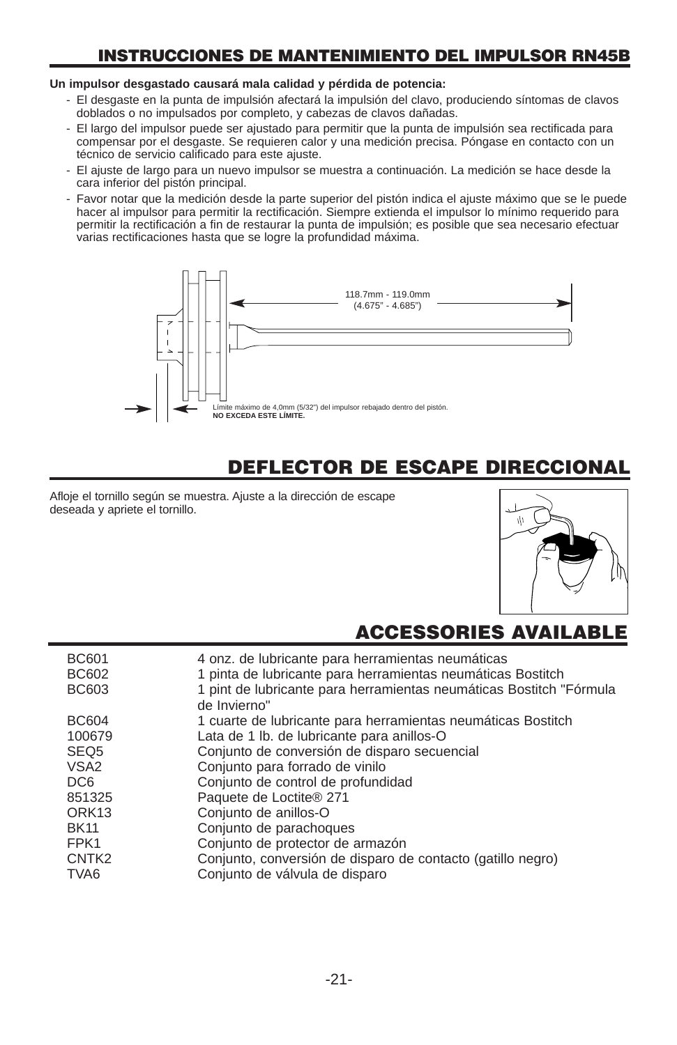### **INSTRUCCIONES DE MANTENIMIENTO DEL IMPULSOR RN45B**

#### **Un impulsor desgastado causará mala calidad y pérdida de potencia:**

- El desgaste en la punta de impulsión afectará la impulsión del clavo, produciendo síntomas de clavos doblados o no impulsados por completo, y cabezas de clavos dañadas.
- El largo del impulsor puede ser ajustado para permitir que la punta de impulsión sea rectificada para compensar por el desgaste. Se requieren calor y una medición precisa. Póngase en contacto con un técnico de servicio calificado para este ajuste.
- El ajuste de largo para un nuevo impulsor se muestra a continuación. La medición se hace desde la cara inferior del pistón principal.
- Favor notar que la medición desde la parte superior del pistón indica el ajuste máximo que se le puede hacer al impulsor para permitir la rectificación. Siempre extienda el impulsor lo mínimo requerido para permitir la rectificación a fin de restaurar la punta de impulsión; es posible que sea necesario efectuar varias rectificaciones hasta que se logre la profundidad máxima.



### **DEFLECTOR DE ESCAPE DIRECCIONAL**

Afloje el tornillo según se muestra. Ajuste a la dirección de escape deseada y apriete el tornillo.



### **ACCESSORIES AVAILAB**

| <b>BC601</b><br><b>BC602</b> | 4 onz. de lubricante para herramientas neumáticas<br>1 pinta de lubricante para herramientas neumáticas Bostitch |
|------------------------------|------------------------------------------------------------------------------------------------------------------|
| BC603                        | 1 pint de lubricante para herramientas neumáticas Bostitch "Fórmula<br>de Invierno"                              |
| <b>BC604</b>                 | 1 cuarte de lubricante para herramientas neumáticas Bostitch                                                     |
| 100679                       | Lata de 1 lb. de lubricante para anillos-O                                                                       |
| SEQ <sub>5</sub>             | Conjunto de conversión de disparo secuencial                                                                     |
| VSA <sub>2</sub>             | Conjunto para forrado de vinilo                                                                                  |
| DC <sub>6</sub>              | Conjunto de control de profundidad                                                                               |
| 851325                       | Paquete de Loctite® 271                                                                                          |
| ORK <sub>13</sub>            | Conjunto de anillos-O                                                                                            |
| <b>BK11</b>                  | Conjunto de parachoques                                                                                          |
| FPK1                         | Conjunto de protector de armazón                                                                                 |
| CNTK <sub>2</sub>            | Conjunto, conversión de disparo de contacto (gatillo negro)                                                      |
| TVA <sub>6</sub>             | Conjunto de válvula de disparo                                                                                   |
|                              |                                                                                                                  |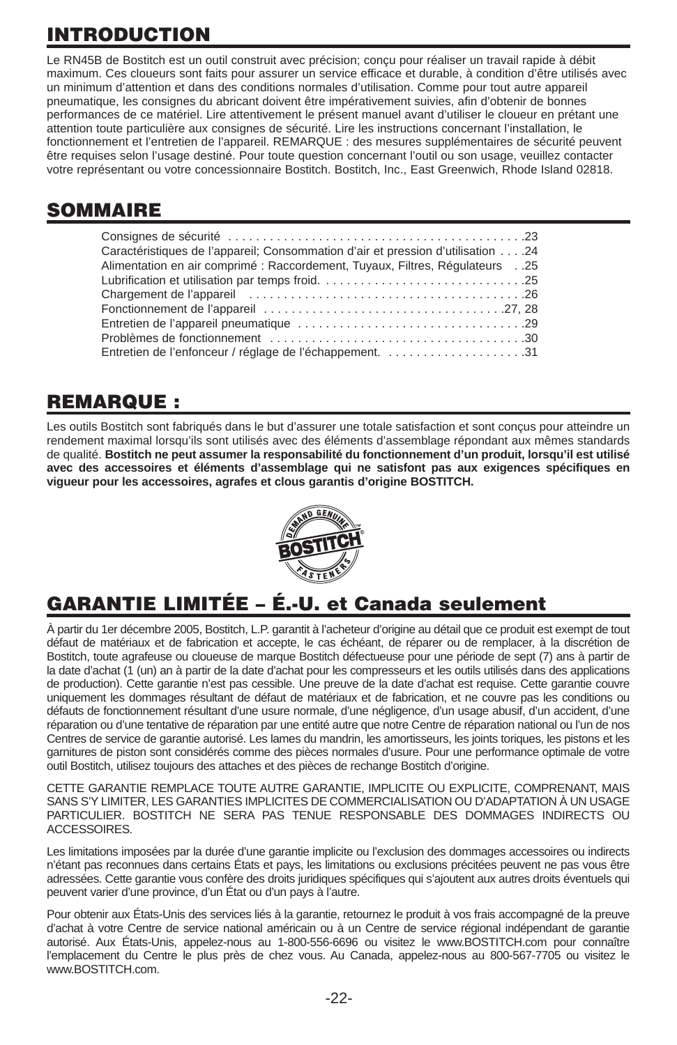# **INTRODUCTION**

Le RN45B de Bostitch est un outil construit avec précision; conçu pour réaliser un travail rapide à débit maximum. Ces cloueurs sont faits pour assurer un service efficace et durable, à condition d'être utilisés avec un minimum d'attention et dans des conditions normales d'utilisation. Comme pour tout autre appareil pneumatique, les consignes du abricant doivent être impérativement suivies, afin d'obtenir de bonnes performances de ce matériel. Lire attentivement le présent manuel avant d'utiliser le cloueur en prétant une attention toute particulière aux consignes de sécurité. Lire les instructions concernant l'installation, le fonctionnement et l'entretien de l'appareil. REMARQUE : des mesures supplémentaires de sécurité peuvent être requises selon l'usage destiné. Pour toute question concernant l'outil ou son usage, veuillez contacter votre représentant ou votre concessionnaire Bostitch. Bostitch, Inc., East Greenwich, Rhode Island 02818.

### **SOMMAIRE**

| 24. 24. Caractéristiques de l'appareil: Consommation d'air et pression d'utilisation.<br>Alimentation en air comprimé : Raccordement, Tuyaux, Filtres, Régulateurs25 |
|----------------------------------------------------------------------------------------------------------------------------------------------------------------------|
|                                                                                                                                                                      |
|                                                                                                                                                                      |
|                                                                                                                                                                      |
|                                                                                                                                                                      |
|                                                                                                                                                                      |
|                                                                                                                                                                      |
| Entretien de l'enfonceur / réglage de l'échappement31                                                                                                                |

### **REMARQUE :**

Les outils Bostitch sont fabriqués dans le but d'assurer une totale satisfaction et sont conçus pour atteindre un rendement maximal lorsqu'ils sont utilisés avec des éléments d'assemblage répondant aux mêmes standards de qualité. **Bostitch ne peut assumer la responsabilité du fonctionnement d'un produit, lorsqu'il est utilisé avec des accessoires et éléments d'assemblage qui ne satisfont pas aux exigences spécifiques en vigueur pour les accessoires, agrafes et clous garantis d'origine BOSTITCH.**



# **GARANTIE LIMITÉE – É.-U. et Canada seulement**

À partir du 1er décembre 2005, Bostitch, L.P. garantit à l'acheteur d'origine au détail que ce produit est exempt de tout défaut de matériaux et de fabrication et accepte, le cas échéant, de réparer ou de remplacer, à la discrétion de Bostitch, toute agrafeuse ou cloueuse de marque Bostitch défectueuse pour une période de sept (7) ans à partir de la date d'achat (1 (un) an à partir de la date d'achat pour les compresseurs et les outils utilisés dans des applications de production). Cette garantie n'est pas cessible. Une preuve de la date d'achat est requise. Cette garantie couvre uniquement les dommages résultant de défaut de matériaux et de fabrication, et ne couvre pas les conditions ou défauts de fonctionnement résultant d'une usure normale, d'une négligence, d'un usage abusif, d'un accident, d'une réparation ou d'une tentative de réparation par une entité autre que notre Centre de réparation national ou l'un de nos Centres de service de garantie autorisé. Les lames du mandrin, les amortisseurs, les joints toriques, les pistons et les garnitures de piston sont considérés comme des pièces normales d'usure. Pour une performance optimale de votre outil Bostitch, utilisez toujours des attaches et des pièces de rechange Bostitch d'origine.

CETTE GARANTIE REMPLACE TOUTE AUTRE GARANTIE, IMPLICITE OU EXPLICITE, COMPRENANT, MAIS SANS S'Y LIMITER, LES GARANTIES IMPLICITES DE COMMERCIALISATION OU D'ADAPTATION À UN USAGE PARTICULIER. BOSTITCH NE SERA PAS TENUE RESPONSABLE DES DOMMAGES INDIRECTS OU ACCESSOIRES.

Les limitations imposées par la durée d'une garantie implicite ou l'exclusion des dommages accessoires ou indirects n'étant pas reconnues dans certains États et pays, les limitations ou exclusions précitées peuvent ne pas vous être adressées. Cette garantie vous confère des droits juridiques spécifiques qui s'ajoutent aux autres droits éventuels qui peuvent varier d'une province, d'un État ou d'un pays à l'autre.

Pour obtenir aux États-Unis des services liés à la garantie, retournez le produit à vos frais accompagné de la preuve d'achat à votre Centre de service national américain ou à un Centre de service régional indépendant de garantie autorisé. Aux États-Unis, appelez-nous au 1-800-556-6696 ou visitez le www.BOSTITCH.com pour connaître l'emplacement du Centre le plus près de chez vous. Au Canada, appelez-nous au 800-567-7705 ou visitez le www.BOSTITCH.com.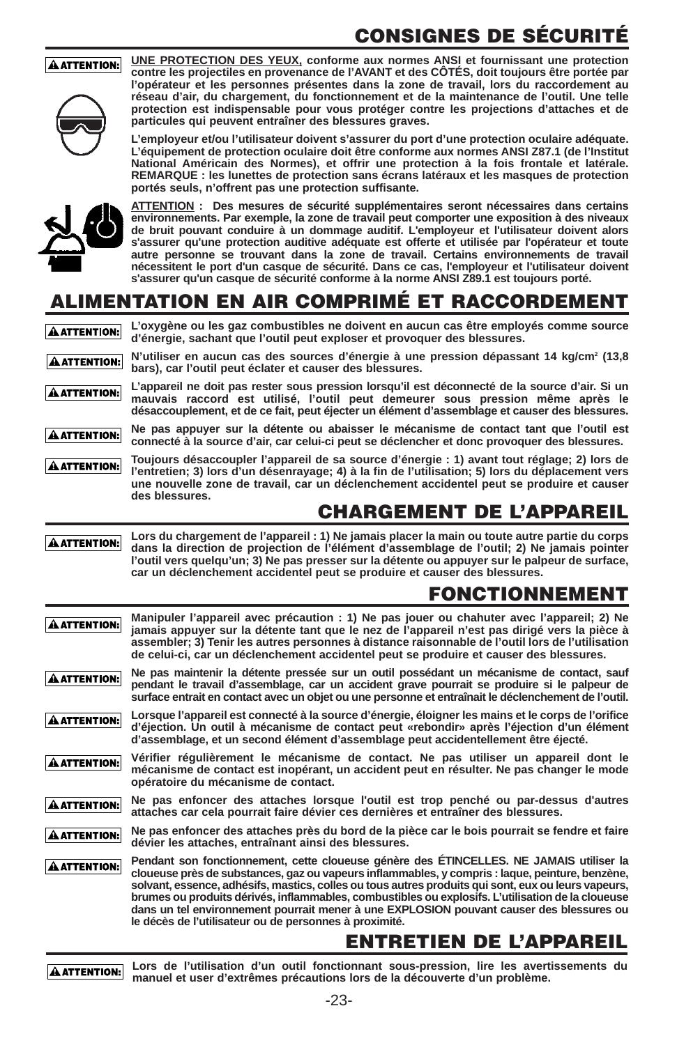# **CONSIGNES DE SÉCURITÉ**

#### **AATTENTION:**



**UNE PROTECTION DES YEUX, conforme aux normes ANSI et fournissant une protection contre les projectiles en provenance de l'AVANT et des CÔTÉS, doit toujours être portée par l'opérateur et les personnes présentes dans la zone de travail, lors du raccordement au réseau d'air, du chargement, du fonctionnement et de la maintenance de l'outil. Une telle protection est indispensable pour vous protéger contre les projections d'attaches et de particules qui peuvent entraîner des blessures graves.**

**L'employeur et/ou l'utilisateur doivent s'assurer du port d'une protection oculaire adéquate. L'équipement de protection oculaire doit être conforme aux normes ANSI Z87.1 (de l'Institut National Américain des Normes), et offrir une protection à la fois frontale et latérale. REMARQUE : les lunettes de protection sans écrans latéraux et les masques de protection portés seuls, n'offrent pas une protection suffisante.**



**ATTENTION : Des mesures de sécurité supplémentaires seront nécessaires dans certains environnements. Par exemple, la zone de travail peut comporter une exposition à des niveaux de bruit pouvant conduire à un dommage auditif. L'employeur et l'utilisateur doivent alors s'assurer qu'une protection auditive adéquate est offerte et utilisée par l'opérateur et toute autre personne se trouvant dans la zone de travail. Certains environnements de travail nécessitent le port d'un casque de sécurité. Dans ce cas, l'employeur et l'utilisateur doivent s'assurer qu'un casque de sécurité conforme à la norme ANSI Z89.1 est toujours porté.**

### **ALIMENTATION EN AIR COMPRIMÉ ET RACCORDEMENT**

|  | A ATTENTION: L'Oxygène ou les gaz combustibles ne doivent en aucun cas être employés comme source<br>d'énergie, sachant que l'outil peut exploser et provoquer des blessures. |  |
|--|-------------------------------------------------------------------------------------------------------------------------------------------------------------------------------|--|
|  |                                                                                                                                                                               |  |

**N'utiliser en aucun cas des sources d'énergie à une pression dépassant 14 kg/cm2 (13,8** A ATTENTION: **bars), car l'outil peut éclater et causer des blessures.** 

**L'appareil ne doit pas rester sous pression lorsqu'il est déconnecté de la source d'air. Si un** À ATTENTION: **mauvais raccord est utilisé, l'outil peut demeurer sous pression même après le désaccouplement, et de ce fait, peut éjecter un élément d'assemblage et causer des blessures.** 

**Ne pas appuyer sur la détente ou abaisser le mécanisme de contact tant que l'outil est** À ATTENTION: **connecté à la source d'air, car celui-ci peut se déclencher et donc provoquer des blessures.** 

**Toujours désaccoupler l'appareil de sa source d'énergie : 1) avant tout réglage; 2) lors de AATTENTION: l'entretien; 3) lors d'un désenrayage; 4) à la fin de l'utilisation; 5) lors du déplacement vers une nouvelle zone de travail, car un déclenchement accidentel peut se produire et causer des blessures.** 

### **CHARGEMENT DE L'APPAREIL**

**Lors du chargement de l'appareil : 1) Ne jamais placer la main ou toute autre partie du corps dans la direction de projection de l'élément d'assemblage de l'outil; 2) Ne jamais pointer AATTENTION: l'outil vers quelqu'un; 3) Ne pas presser sur la détente ou appuyer sur le palpeur de surface, car un déclenchement accidentel peut se produire et causer des blessures.** 

### **FONCTIONNEMENT**

| À ATTENTION: I      | Manipuler l'appareil avec précaution : 1) Ne pas jouer ou chahuter avec l'appareil; 2) Ne<br>jamais appuyer sur la détente tant que le nez de l'appareil n'est pas dirigé vers la pièce à<br>assembler; 3) Tenir les autres personnes à distance raisonnable de l'outil lors de l'utilisation<br>de celui-ci, car un déclenchement accidentel peut se produire et causer des blessures.                                                                                                                                                                      |
|---------------------|--------------------------------------------------------------------------------------------------------------------------------------------------------------------------------------------------------------------------------------------------------------------------------------------------------------------------------------------------------------------------------------------------------------------------------------------------------------------------------------------------------------------------------------------------------------|
| <b>A ATTENTION:</b> | Ne pas maintenir la détente pressée sur un outil possédant un mécanisme de contact, sauf<br>pendant le travail d'assemblage, car un accident grave pourrait se produire si le palpeur de<br>surface entrait en contact avec un objet ou une personne et entraînait le déclenchement de l'outil.                                                                                                                                                                                                                                                              |
| A ATTENTION:        | Lorsque l'appareil est connecté à la source d'énergie, éloigner les mains et le corps de l'orifice<br>d'éjection. Un outil à mécanisme de contact peut «rebondir» après l'éjection d'un élément<br>d'assemblage, et un second élément d'assemblage peut accidentellement être éjecté.                                                                                                                                                                                                                                                                        |
| À ATTENTION: I      | Vérifier régulièrement le mécanisme de contact. Ne pas utiliser un appareil dont le<br>mécanisme de contact est inopérant, un accident peut en résulter. Ne pas changer le mode<br>opératoire du mécanisme de contact.                                                                                                                                                                                                                                                                                                                                       |
| <b>A ATTENTION:</b> | Ne pas enfoncer des attaches lorsque l'outil est trop penché ou par-dessus d'autres<br>attaches car cela pourrait faire dévier ces dernières et entraîner des blessures.                                                                                                                                                                                                                                                                                                                                                                                     |
| À ATTENTION:        | Ne pas enfoncer des attaches près du bord de la pièce car le bois pourrait se fendre et faire<br>dévier les attaches, entraînant ainsi des blessures.                                                                                                                                                                                                                                                                                                                                                                                                        |
| À ATTENTION: I      | Pendant son fonctionnement, cette cloueuse génère des ETINCELLES. NE JAMAIS utiliser la<br>cloueuse près de substances, gaz ou vapeurs inflammables, y compris : laque, peinture, benzène,<br>solvant, essence, adhésifs, mastics, colles ou tous autres produits qui sont, eux ou leurs vapeurs,<br>brumes ou produits dérivés, inflammables, combustibles ou explosifs. L'utilisation de la cloueuse<br>dans un tel environnement pourrait mener à une EXPLOSION pouvant causer des blessures ou<br>le décès de l'utilisateur ou de personnes à proximité. |
|                     |                                                                                                                                                                                                                                                                                                                                                                                                                                                                                                                                                              |

### **ENTRETIEN DE L'APPAREIL**

**AATTENTION:** 

**Lors de l'utilisation d'un outil fonctionnant sous-pression, lire les avertissements du manuel et user d'extrêmes précautions lors de la découverte d'un problème.**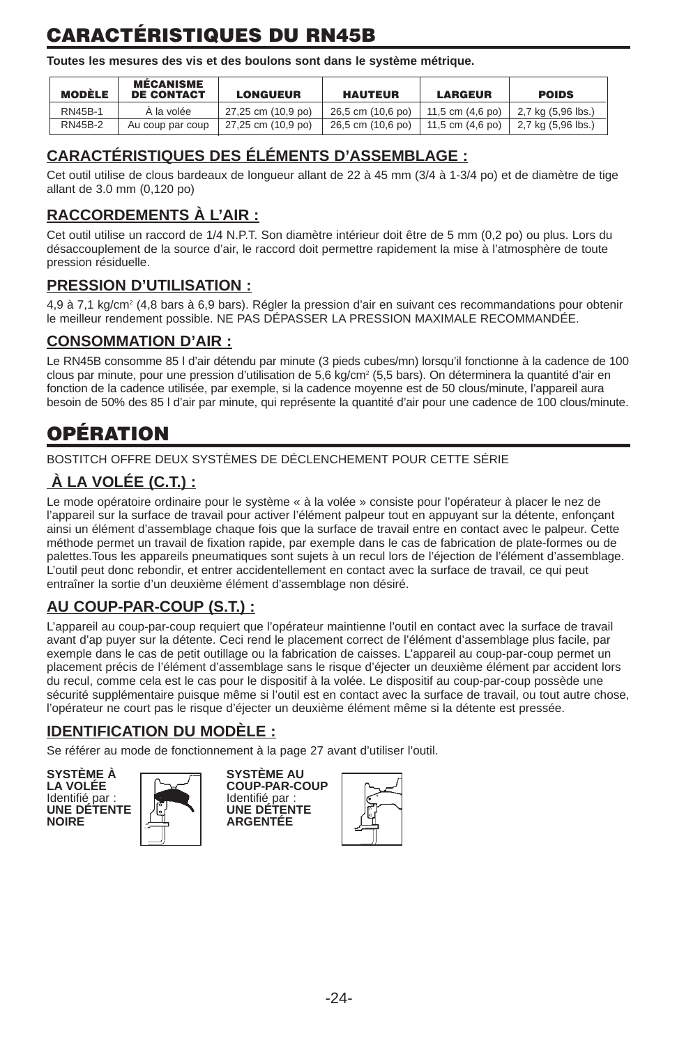# **CARACTÉRISTIQUES DU RN45B**

**Toutes les mesures des vis et des boulons sont dans le système métrique.** 

| <b>MODÈLE</b>  | <b>MÉCANISME</b><br><b>DE CONTACT</b> | <b>LONGUEUR</b>    | <b>HAUTEUR</b>    | <b>LARGEUR</b>             | <b>POIDS</b>       |
|----------------|---------------------------------------|--------------------|-------------------|----------------------------|--------------------|
| RN45B-1        | A la volée                            | 27,25 cm (10,9 po) | 26.5 cm (10.6 po) | 11,5 cm (4,6 po)           | 2,7 kg (5,96 lbs.) |
| <b>RN45B-2</b> | Au coup par coup                      | 27,25 cm (10,9 po) | 26.5 cm (10.6 po) | 11.5 cm $(4.6 \text{ po})$ | 2,7 kg (5,96 lbs.) |

### **CARACTÉRISTIQUES DES ÉLÉMENTS D'ASSEMBLAGE :**

Cet outil utilise de clous bardeaux de longueur allant de 22 à 45 mm (3/4 à 1-3/4 po) et de diamètre de tige allant de 3.0 mm (0,120 po)

### **RACCORDEMENTS À L'AIR :**

Cet outil utilise un raccord de 1/4 N.P.T. Son diamètre intérieur doit être de 5 mm (0,2 po) ou plus. Lors du désaccouplement de la source d'air, le raccord doit permettre rapidement la mise à l'atmosphère de toute pression résiduelle.

#### **PRESSION D'UTILISATION :**

4,9 à 7,1 kg/cm2 (4,8 bars à 6,9 bars). Régler la pression d'air en suivant ces recommandations pour obtenir le meilleur rendement possible. NE PAS DÉPASSER LA PRESSION MAXIMALE RECOMMANDÉE.

#### **CONSOMMATION D'AIR :**

Le RN45B consomme 85 l d'air détendu par minute (3 pieds cubes/mn) lorsqu'il fonctionne à la cadence de 100 clous par minute, pour une pression d'utilisation de 5,6 kg/cm<sup>2</sup> (5,5 bars). On déterminera la quantité d'air en fonction de la cadence utilisée, par exemple, si la cadence moyenne est de 50 clous/minute, l'appareil aura besoin de 50% des 85 l d'air par minute, qui représente la quantité d'air pour une cadence de 100 clous/minute.

# **OPÉRATION**

BOSTITCH OFFRE DEUX SYSTÈMES DE DÉCLENCHEMENT POUR CETTE SÉRIE

### **À LA VOLÉE (C.T.) :**

Le mode opératoire ordinaire pour le système « à la volée » consiste pour l'opérateur à placer le nez de l'appareil sur la surface de travail pour activer l'élément palpeur tout en appuyant sur la détente, enfonçant ainsi un élément d'assemblage chaque fois que la surface de travail entre en contact avec le palpeur. Cette méthode permet un travail de fixation rapide, par exemple dans le cas de fabrication de plate-formes ou de palettes.Tous les appareils pneumatiques sont sujets à un recul lors de l'éjection de l'élément d'assemblage. L'outil peut donc rebondir, et entrer accidentellement en contact avec la surface de travail, ce qui peut entraîner la sortie d'un deuxième élément d'assemblage non désiré.

### **AU COUP-PAR-COUP (S.T.) :**

L'appareil au coup-par-coup requiert que l'opérateur maintienne l'outil en contact avec la surface de travail avant d'ap puyer sur la détente. Ceci rend le placement correct de l'élément d'assemblage plus facile, par exemple dans le cas de petit outillage ou la fabrication de caisses. L'appareil au coup-par-coup permet un placement précis de l'élément d'assemblage sans le risque d'éjecter un deuxième élément par accident lors du recul, comme cela est le cas pour le dispositif à la volée. Le dispositif au coup-par-coup possède une sécurité supplémentaire puisque même si l'outil est en contact avec la surface de travail, ou tout autre chose, l'opérateur ne court pas le risque d'éjecter un deuxième élément même si la détente est pressée.

#### **IDENTIFICATION DU MODÈLE :**

Se référer au mode de fonctionnement à la page 27 avant d'utiliser l'outil.

**SYSTÈME À SYSTÈME AU**  Identifié par :<br>Identifié par :<br>UNE DÉTENTE | DE LA UNE DÉTEN **UNE DÉTENTE UNE DÉTENTE**



LA VOLÉE **COUP-PAR-COUP**<br>Identifié par : **NOIRE ARGENTÉE**

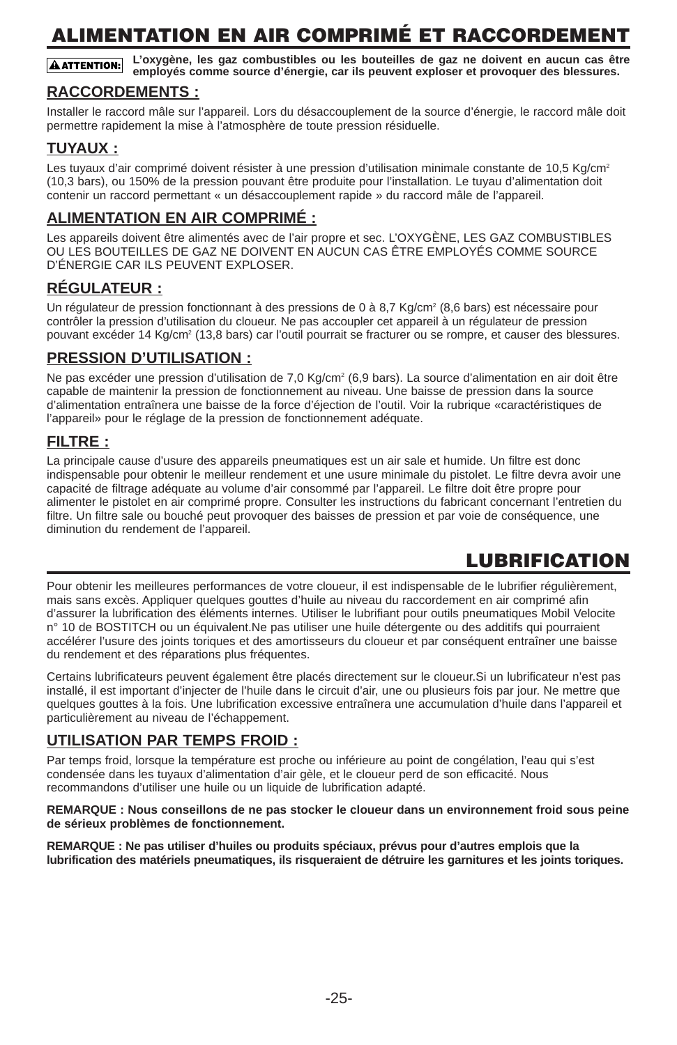# **ALIMENTATION EN AIR COMPRIMÉ ET RACCORDEMENT**

**L'oxygène, les gaz combustibles ou les bouteilles de gaz ne doivent en aucun cas être A ATTENTION: employés comme source d'énergie, car ils peuvent exploser et provoquer des blessures.**

#### **RACCORDEMENTS :**

Installer le raccord mâle sur l'appareil. Lors du désaccouplement de la source d'énergie, le raccord mâle doit permettre rapidement la mise à l'atmosphère de toute pression résiduelle.

#### **TUYAUX :**

Les tuyaux d'air comprimé doivent résister à une pression d'utilisation minimale constante de 10,5 Kg/cm<sup>2</sup> (10,3 bars), ou 150% de la pression pouvant être produite pour l'installation. Le tuyau d'alimentation doit contenir un raccord permettant « un désaccouplement rapide » du raccord mâle de l'appareil.

#### **ALIMENTATION EN AIR COMPRIMÉ :**

Les appareils doivent être alimentés avec de l'air propre et sec. L'OXYGÈNE, LES GAZ COMBUSTIBLES OU LES BOUTEILLES DE GAZ NE DOIVENT EN AUCUN CAS ÊTRE EMPLOYÉS COMME SOURCE D'ÉNERGIE CAR ILS PEUVENT EXPLOSER.

#### **RÉGULATEUR :**

Un régulateur de pression fonctionnant à des pressions de 0 à 8,7 Kg/cm<sup>2</sup> (8,6 bars) est nécessaire pour contrôler la pression d'utilisation du cloueur. Ne pas accoupler cet appareil à un régulateur de pression pouvant excéder 14 Kg/cm<sup>2</sup> (13,8 bars) car l'outil pourrait se fracturer ou se rompre, et causer des blessures.

#### **PRESSION D'UTILISATION :**

Ne pas excéder une pression d'utilisation de 7,0 Kg/cm<sup>2</sup> (6,9 bars). La source d'alimentation en air doit être capable de maintenir la pression de fonctionnement au niveau. Une baisse de pression dans la source d'alimentation entraînera une baisse de la force d'éjection de l'outil. Voir la rubrique «caractéristiques de l'appareil» pour le réglage de la pression de fonctionnement adéquate.

#### **FILTRE :**

La principale cause d'usure des appareils pneumatiques est un air sale et humide. Un filtre est donc indispensable pour obtenir le meilleur rendement et une usure minimale du pistolet. Le filtre devra avoir une capacité de filtrage adéquate au volume d'air consommé par l'appareil. Le filtre doit être propre pour alimenter le pistolet en air comprimé propre. Consulter les instructions du fabricant concernant l'entretien du filtre. Un filtre sale ou bouché peut provoquer des baisses de pression et par voie de conséquence, une diminution du rendement de l'appareil.

### **LUBRIFICATION**

Pour obtenir les meilleures performances de votre cloueur, il est indispensable de le lubrifier régulièrement, mais sans excès. Appliquer quelques gouttes d'huile au niveau du raccordement en air comprimé afin d'assurer la lubrification des éléments internes. Utiliser le lubrifiant pour outils pneumatiques Mobil Velocite n° 10 de BOSTITCH ou un équivalent.Ne pas utiliser une huile détergente ou des additifs qui pourraient accélérer l'usure des joints toriques et des amortisseurs du cloueur et par conséquent entraîner une baisse du rendement et des réparations plus fréquentes.

Certains lubrificateurs peuvent également être placés directement sur le cloueur.Si un lubrificateur n'est pas installé, il est important d'injecter de l'huile dans le circuit d'air, une ou plusieurs fois par jour. Ne mettre que quelques gouttes à la fois. Une lubrification excessive entraînera une accumulation d'huile dans l'appareil et particulièrement au niveau de l'échappement.

#### **UTILISATION PAR TEMPS FROID :**

Par temps froid, lorsque la température est proche ou inférieure au point de congélation, l'eau qui s'est condensée dans les tuyaux d'alimentation d'air gèle, et le cloueur perd de son efficacité. Nous recommandons d'utiliser une huile ou un liquide de lubrification adapté.

**REMARQUE : Nous conseillons de ne pas stocker le cloueur dans un environnement froid sous peine de sérieux problèmes de fonctionnement.**

**REMARQUE : Ne pas utiliser d'huiles ou produits spéciaux, prévus pour d'autres emplois que la lubrification des matériels pneumatiques, ils risqueraient de détruire les garnitures et les joints toriques.**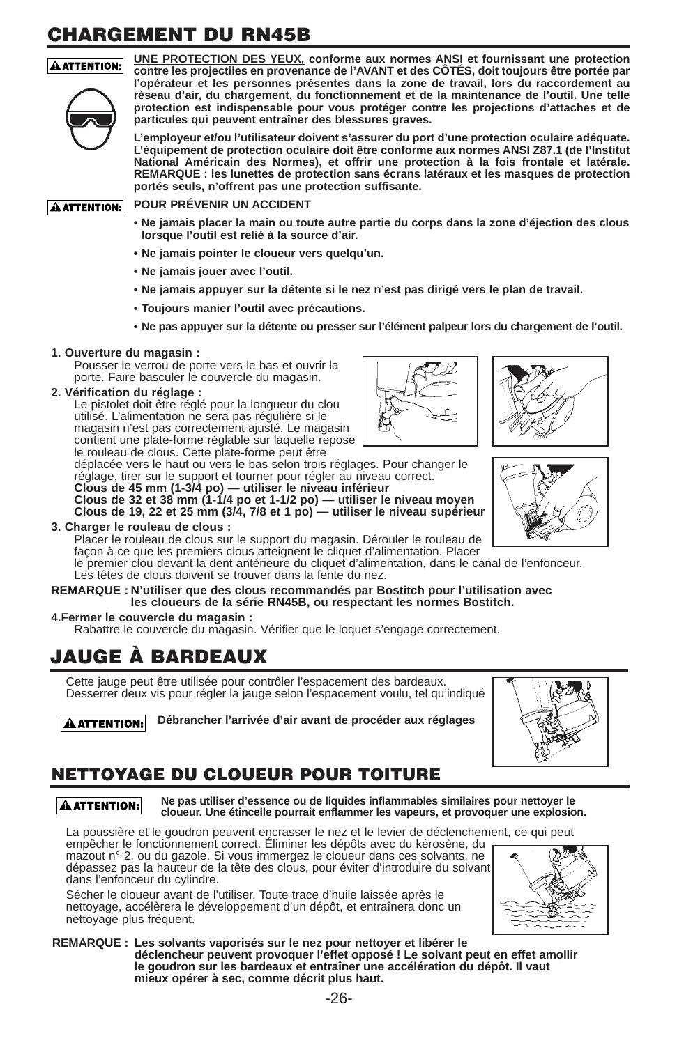# **CHARGEMENT DU RN45B**

#### A ATTENTION:



**UNE PROTECTION DES YEUX, conforme aux normes ANSI et fournissant une protection contre les projectiles en provenance de l'AVANT et des CÔTÉS, doit toujours être portée par l'opérateur et les personnes présentes dans la zone de travail, lors du raccordement au réseau d'air, du chargement, du fonctionnement et de la maintenance de l'outil. Une telle protection est indispensable pour vous protéger contre les projections d'attaches et de particules qui peuvent entraîner des blessures graves.**

**L'employeur et/ou l'utilisateur doivent s'assurer du port d'une protection oculaire adéquate. L'équipement de protection oculaire doit être conforme aux normes ANSI Z87.1 (de l'Institut National Américain des Normes), et offrir une protection à la fois frontale et latérale. REMARQUE : les lunettes de protection sans écrans latéraux et les masques de protection portés seuls, n'offrent pas une protection suffisante.**

**AATTENTION:** 

**POUR PRÉVENIR UN ACCIDENT**

- **Ne jamais placer la main ou toute autre partie du corps dans la zone d'éjection des clous lorsque l'outil est relié à la source d'air.**
- **• Ne jamais pointer le cloueur vers quelqu'un.**
- **• Ne jamais jouer avec l'outil.**
- **• Ne jamais appuyer sur la détente si le nez n'est pas dirigé vers le plan de travail.**
- **Toujours manier l'outil avec précautions.**
- **• Ne pas appuyer sur la détente ou presser sur l'élément palpeur lors du chargement de l'outil.**

#### **1. Ouverture du magasin :**

Pousser le verrou de porte vers le bas et ouvrir la porte. Faire basculer le couvercle du magasin.

**2. Vérification du réglage :** 

Le pistolet doit être réglé pour la longueur du clou utilisé. L'alimentation ne sera pas régulière si le magasin n'est pas correctement ajusté. Le magasin contient une plate-forme réglable sur laquelle repose le rouleau de clous. Cette plate-forme peut être

déplacée vers le haut ou vers le bas selon trois réglages. Pour changer le réglage, tirer sur le support et tourner pour régler au niveau correct. Clous de 45 mm (1-3/4 po) — utiliser le niveau inférieur<br>Clous de 32 et 38 mm (1-1/4 po et 1-1/2 po) — utiliser le niveau moyen<br>Clous de 19, 22 et 25 mm (3/4, 7/8 et 1 po) — utiliser le niveau supérieur

**3. Charger le rouleau de clous :**

Placer le rouleau de clous sur le support du magasin. Dérouler le rouleau de façon à ce que les premiers clous atteignent le cliquet d'alimentation. Placer

le premier clou devant la dent antérieure du cliquet d'alimentation, dans le canal de l'enfonceur. Les têtes de clous doivent se trouver dans la fente du nez.

#### **REMARQUE : N'utiliser que des clous recommandés par Bostitch pour l'utilisation avec les cloueurs de la série RN45B, ou respectant les normes Bostitch.**

**4.Fermer le couvercle du magasin :**

Rabattre le couvercle du magasin. Vérifier que le loquet s'engage correctement.

# **JAUGE À BARDEAUX**

Cette jauge peut être utilisée pour contrôler l'espacement des bardeaux. Desserrer deux vis pour régler la jauge selon l'espacement voulu, tel qu'indiqué

**Débrancher l'arrivée d'air avant de procéder aux réglages A ATTENTION:** 



### **NETTOYAGE DU CLOUEUR POUR TOITURE**

**Ne pas utiliser d'essence ou de liquides inflammables similaires pour nettoyer le**  $\bf{A}$  attention: **cloueur. Une étincelle pourrait enflammer les vapeurs, et provoquer une explosion.**

La poussière et le goudron peuvent encrasser le nez et le levier de déclenchement, ce qui peut empêcher le fonctionnement correct. Éliminer les dépôts avec du kérosène, du mazout n° 2, ou du gazole. Si vous immergez le cloueur dans ces solvants, ne dépassez pas la hauteur de la tête des clous, pour éviter d'introduire du solvant dans l'enfonceur du cylindre.

Sécher le cloueur avant de l'utiliser. Toute trace d'huile laissée après le nettoyage, accélèrera le développement d'un dépôt, et entraînera donc un nettoyage plus fréquent.



**REMARQUE : Les solvants vaporisés sur le nez pour nettoyer et libérer le déclencheur peuvent provoquer l'effet opposé ! Le solvant peut en effet amollir le goudron sur les bardeaux et entraîner une accélération du dépôt. Il vaut mieux opérer à sec, comme décrit plus haut.** 



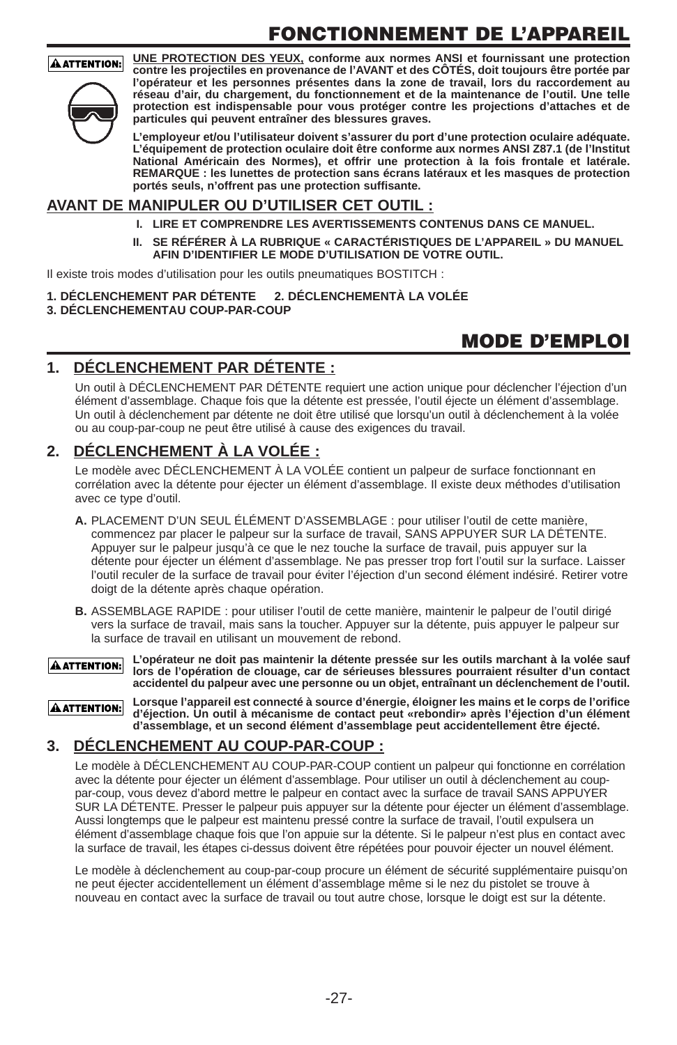# **FONCTIONNEMENT DE L'APPAREIL**

#### **AATTENTION:**



**UNE PROTECTION DES YEUX, conforme aux normes ANSI et fournissant une protection contre les projectiles en provenance de l'AVANT et des CÔTÉS, doit toujours être portée par l'opérateur et les personnes présentes dans la zone de travail, lors du raccordement au réseau d'air, du chargement, du fonctionnement et de la maintenance de l'outil. Une telle protection est indispensable pour vous protéger contre les projections d'attaches et de particules qui peuvent entraîner des blessures graves.**

**L'employeur et/ou l'utilisateur doivent s'assurer du port d'une protection oculaire adéquate. L'équipement de protection oculaire doit être conforme aux normes ANSI Z87.1 (de l'Institut National Américain des Normes), et offrir une protection à la fois frontale et latérale. REMARQUE : les lunettes de protection sans écrans latéraux et les masques de protection portés seuls, n'offrent pas une protection suffisante.**

#### **AVANT DE MANIPULER OU D'UTILISER CET OUTIL :**

- **I. LIRE ET COMPRENDRE LES AVERTISSEMENTS CONTENUS DANS CE MANUEL.**
- **II. SE RÉFÉRER À LA RUBRIQUE « CARACTÉRISTIQUES DE L'APPAREIL » DU MANUEL AFIN D'IDENTIFIER LE MODE D'UTILISATION DE VOTRE OUTIL.**

Il existe trois modes d'utilisation pour les outils pneumatiques BOSTITCH :

#### **1. DÉCLENCHEMENT PAR DÉTENTE 2. DÉCLENCHEMENTÀ LA VOLÉE 3. DÉCLENCHEMENTAU COUP-PAR-COUP**

### **MODE D'EMPLOI**

### **1. DÉCLENCHEMENT PAR DÉTENTE :**

Un outil à DÉCLENCHEMENT PAR DÉTENTE requiert une action unique pour déclencher l'éjection d'un élément d'assemblage. Chaque fois que la détente est pressée, l'outil éjecte un élément d'assemblage. Un outil à déclenchement par détente ne doit être utilisé que lorsqu'un outil à déclenchement à la volée ou au coup-par-coup ne peut être utilisé à cause des exigences du travail.

#### **2. DÉCLENCHEMENT À LA VOLÉE :**

Le modèle avec DÉCLENCHEMENT À LA VOLÉE contient un palpeur de surface fonctionnant en corrélation avec la détente pour éjecter un élément d'assemblage. Il existe deux méthodes d'utilisation avec ce type d'outil.

- **A.** PLACEMENT D'UN SEUL ÉLÉMENT D'ASSEMBLAGE : pour utiliser l'outil de cette manière, commencez par placer le palpeur sur la surface de travail, SANS APPUYER SUR LA DÉTENTE. Appuyer sur le palpeur jusqu'à ce que le nez touche la surface de travail, puis appuyer sur la détente pour éjecter un élément d'assemblage. Ne pas presser trop fort l'outil sur la surface. Laisser l'outil reculer de la surface de travail pour éviter l'éjection d'un second élément indésiré. Retirer votre doigt de la détente après chaque opération.
- **B.** ASSEMBLAGE RAPIDE : pour utiliser l'outil de cette manière, maintenir le palpeur de l'outil dirigé vers la surface de travail, mais sans la toucher. Appuyer sur la détente, puis appuyer le palpeur sur la surface de travail en utilisant un mouvement de rebond.

**L'opérateur ne doit pas maintenir la détente pressée sur les outils marchant à la volée sauf AATTENTION: lors de l'opération de clouage, car de sérieuses blessures pourraient résulter d'un contact accidentel du palpeur avec une personne ou un objet, entraînant un déclenchement de l'outil.**

**Lorsque l'appareil est connecté à source d'énergie, éloigner les mains et le corps de l'orifice AATTENTION: d'éjection. Un outil à mécanisme de contact peut «rebondir» après l'éjection d'un élément d'assemblage, et un second élément d'assemblage peut accidentellement être éjecté.** 

#### **3. DÉCLENCHEMENT AU COUP-PAR-COUP :**

Le modèle à DÉCLENCHEMENT AU COUP-PAR-COUP contient un palpeur qui fonctionne en corrélation avec la détente pour éjecter un élément d'assemblage. Pour utiliser un outil à déclenchement au couppar-coup, vous devez d'abord mettre le palpeur en contact avec la surface de travail SANS APPUYER SUR LA DÉTENTE. Presser le palpeur puis appuyer sur la détente pour éjecter un élément d'assemblage. Aussi longtemps que le palpeur est maintenu pressé contre la surface de travail, l'outil expulsera un élément d'assemblage chaque fois que l'on appuie sur la détente. Si le palpeur n'est plus en contact avec la surface de travail, les étapes ci-dessus doivent être répétées pour pouvoir éjecter un nouvel élément.

Le modèle à déclenchement au coup-par-coup procure un élément de sécurité supplémentaire puisqu'on ne peut éjecter accidentellement un élément d'assemblage même si le nez du pistolet se trouve à nouveau en contact avec la surface de travail ou tout autre chose, lorsque le doigt est sur la détente.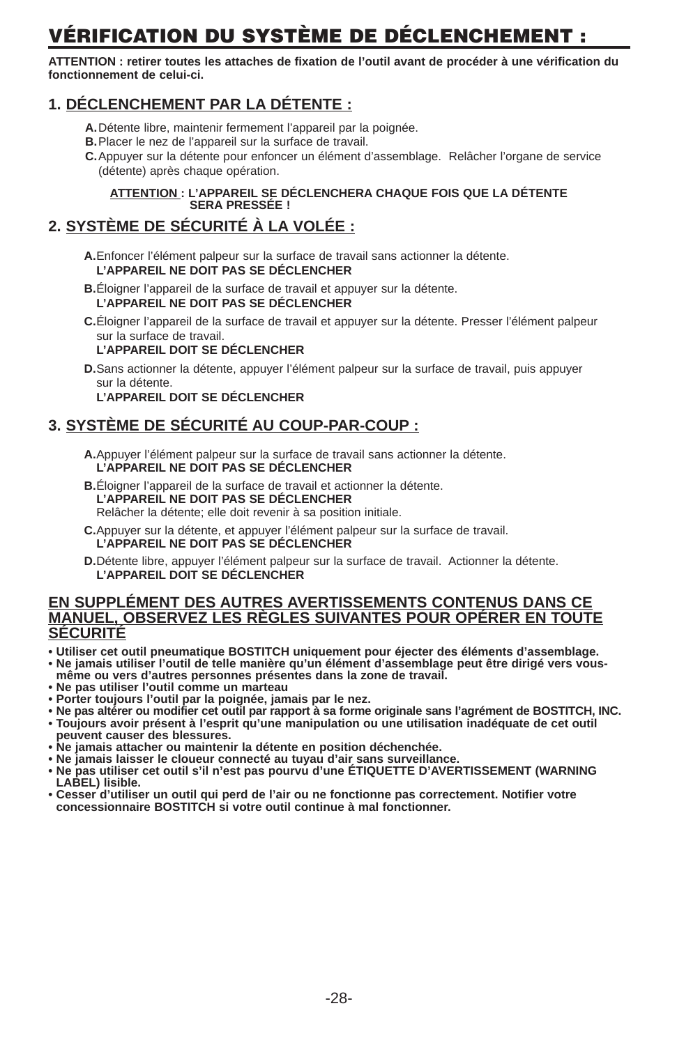# **VÉRIFICATION DU SYSTÈME DE DÉCLENCHEMENT :**

**ATTENTION : retirer toutes les attaches de fixation de l'outil avant de procéder à une vérification du fonctionnement de celui-ci.**

### **1. DÉCLENCHEMENT PAR LA DÉTENTE :**

- **A.**Détente libre, maintenir fermement l'appareil par la poignée.
- **B.**Placer le nez de l'appareil sur la surface de travail.
- **C.**Appuyer sur la détente pour enfoncer un élément d'assemblage. Relâcher l'organe de service (détente) après chaque opération.

#### **ATTENTION : L'APPAREIL SE DÉCLENCHERA CHAQUE FOIS QUE LA DÉTENTE SERA PRESSÉE !**

### **2. SYSTÈME DE SÉCURITÉ À LA VOLÉE :**

**A.**Enfoncer l'élément palpeur sur la surface de travail sans actionner la détente. **L'APPAREIL NE DOIT PAS SE DÉCLENCHER** 

- **B.**Éloigner l'appareil de la surface de travail et appuyer sur la détente. **L'APPAREIL NE DOIT PAS SE DÉCLENCHER**
- **C.**Éloigner l'appareil de la surface de travail et appuyer sur la détente. Presser l'élément palpeur sur la surface de travail.

#### **L'APPAREIL DOIT SE DÉCLENCHER**

**D.**Sans actionner la détente, appuyer l'élément palpeur sur la surface de travail, puis appuyer sur la détente.

**L'APPAREIL DOIT SE DÉCLENCHER** 

#### **3. SYSTÈME DE SÉCURITÉ AU COUP-PAR-COUP :**

- **A.**Appuyer l'élément palpeur sur la surface de travail sans actionner la détente. **L'APPAREIL NE DOIT PAS SE DÉCLENCHER**
- **B.**Éloigner l'appareil de la surface de travail et actionner la détente. **L'APPAREIL NE DOIT PAS SE DÉCLENCHER**  Relâcher la détente; elle doit revenir à sa position initiale.
- **C.**Appuyer sur la détente, et appuyer l'élément palpeur sur la surface de travail. **L'APPAREIL NE DOIT PAS SE DÉCLENCHER**
- **D.**Détente libre, appuyer l'élément palpeur sur la surface de travail. Actionner la détente. **L'APPAREIL DOIT SE DÉCLENCHER**

#### **EN SUPPLÉMENT DES AUTRES AVERTISSEMENTS CONTENUS DANS CE MANUEL, OBSERVEZ LES RÈGLES SUIVANTES POUR OPÉRER EN TOUTE SÉCURITÉ**

- **• Utiliser cet outil pneumatique BOSTITCH uniquement pour éjecter des éléments d'assemblage.**
- **• Ne jamais utiliser l'outil de telle manière qu'un élément d'assemblage peut être dirigé vers vousmême ou vers d'autres personnes présentes dans la zone de travail.**
- **• Ne pas utiliser l'outil comme un marteau**
- **• Porter toujours l'outil par la poignée, jamais par le nez.**
- **• Ne pas altérer ou modifier cet outil par rapport à sa forme originale sans l'agrément de BOSTITCH, INC. • Toujours avoir présent à l'esprit qu'une manipulation ou une utilisation inadéquate de cet outil peuvent causer des blessures.**
- **• Ne jamais attacher ou maintenir la détente en position déchenchée.**
- **• Ne jamais laisser le cloueur connecté au tuyau d'air sans surveillance.**
- **• Ne pas utiliser cet outil s'il n'est pas pourvu d'une ÉTIQUETTE D'AVERTISSEMENT (WARNING LABEL) lisible.**
- **• Cesser d'utiliser un outil qui perd de l'air ou ne fonctionne pas correctement. Notifier votre concessionnaire BOSTITCH si votre outil continue à mal fonctionner.**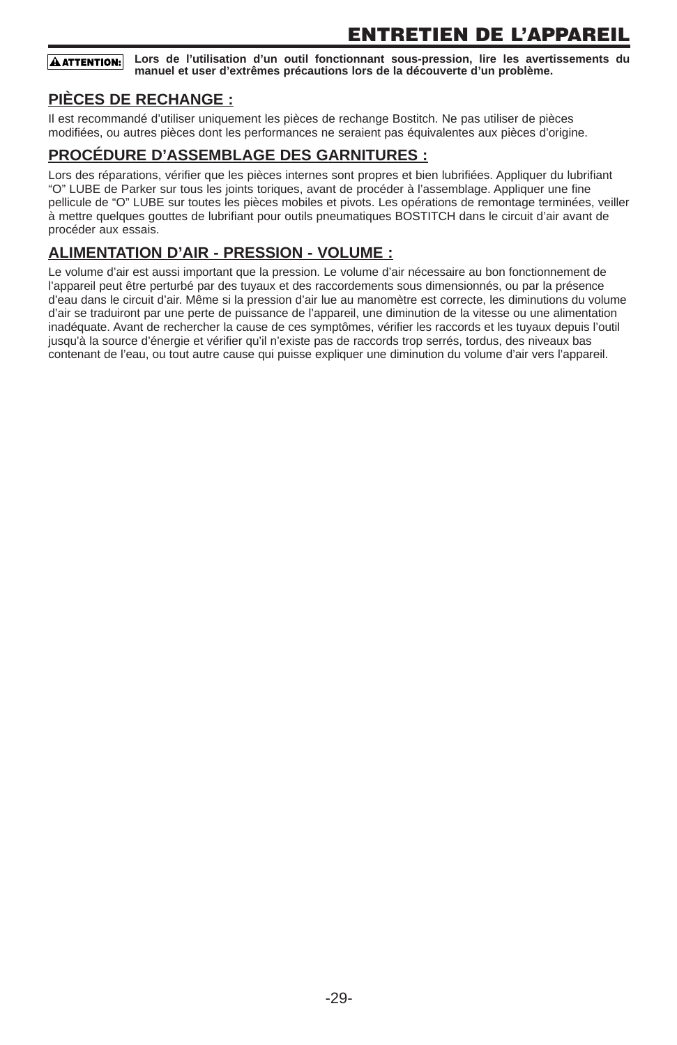#### **Lors de l'utilisation d'un outil fonctionnant sous-pression, lire les avertissements du AATTENTION: manuel et user d'extrêmes précautions lors de la découverte d'un problème.**

#### **PIÈCES DE RECHANGE :**

Il est recommandé d'utiliser uniquement les pièces de rechange Bostitch. Ne pas utiliser de pièces modifiées, ou autres pièces dont les performances ne seraient pas équivalentes aux pièces d'origine.

#### **PROCÉDURE D'ASSEMBLAGE DES GARNITURES :**

Lors des réparations, vérifier que les pièces internes sont propres et bien lubrifiées. Appliquer du lubrifiant "O" LUBE de Parker sur tous les joints toriques, avant de procéder à l'assemblage. Appliquer une fine pellicule de "O" LUBE sur toutes les pièces mobiles et pivots. Les opérations de remontage terminées, veiller à mettre quelques gouttes de lubrifiant pour outils pneumatiques BOSTITCH dans le circuit d'air avant de procéder aux essais.

#### **ALIMENTATION D'AIR - PRESSION - VOLUME :**

Le volume d'air est aussi important que la pression. Le volume d'air nécessaire au bon fonctionnement de l'appareil peut être perturbé par des tuyaux et des raccordements sous dimensionnés, ou par la présence d'eau dans le circuit d'air. Même si la pression d'air lue au manomètre est correcte, les diminutions du volume d'air se traduiront par une perte de puissance de l'appareil, une diminution de la vitesse ou une alimentation inadéquate. Avant de rechercher la cause de ces symptômes, vérifier les raccords et les tuyaux depuis l'outil jusqu'à la source d'énergie et vérifier qu'il n'existe pas de raccords trop serrés, tordus, des niveaux bas contenant de l'eau, ou tout autre cause qui puisse expliquer une diminution du volume d'air vers l'appareil.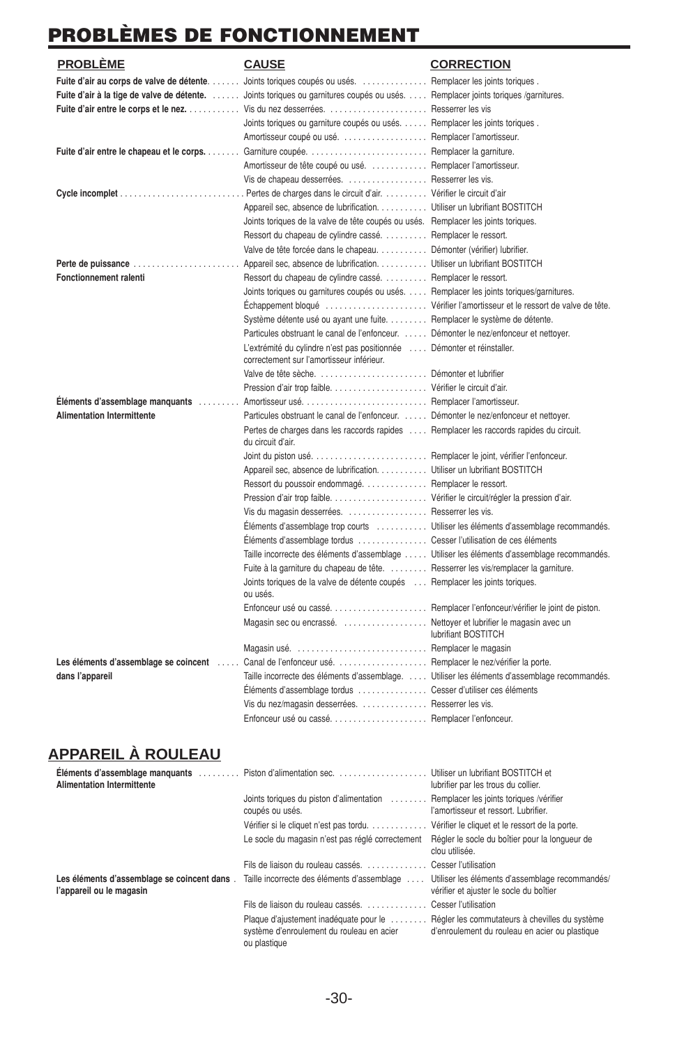# **PROBLÈMES DE FONCTIONNEMENT**

| <b>PROBLÈME</b>                          | <b>CAUSE</b>                                                                                                         | <b>CORRECTION</b>                                      |
|------------------------------------------|----------------------------------------------------------------------------------------------------------------------|--------------------------------------------------------|
|                                          | Fuite d'air au corps de valve de détente.  Joints toriques coupés ou usés.                                           | Remplacer les joints toriques.                         |
|                                          | Fuite d'air à la tige de valve de détente.  Joints toriques ou garnitures coupés ou usés                             | Remplacer joints toriques /garnitures.                 |
|                                          | Fuite d'air entre le corps et le nez.  Vis du nez desserrées.                                                        | Resserrer les vis                                      |
|                                          | Joints toriques ou garniture coupés ou usés.                                                                         | Remplacer les joints toriques.                         |
|                                          | Amortisseur coupé ou usé.                                                                                            | Remplacer l'amortisseur.                               |
| Fuite d'air entre le chapeau et le corps | Garniture coupée.                                                                                                    | Remplacer la garniture.                                |
|                                          | Amortisseur de tête coupé ou usé.  Remplacer l'amortisseur.                                                          |                                                        |
|                                          | Vis de chapeau desserrées.  Resserrer les vis.                                                                       |                                                        |
|                                          | Pertes de charges dans le circuit d'air.  Vérifier le circuit d'air                                                  |                                                        |
|                                          | Appareil sec, absence de lubrification. Utiliser un lubrifiant BOSTITCH                                              |                                                        |
|                                          | Joints toriques de la valve de tête coupés ou usés. Remplacer les joints toriques.                                   |                                                        |
|                                          | Ressort du chapeau de cylindre cassé.                                                                                | Remplacer le ressort.                                  |
|                                          | Valve de tête forcée dans le chapeau                                                                                 | Démonter (vérifier) lubrifier.                         |
| Perte de puissance                       | Appareil sec, absence de lubrification.                                                                              | Utiliser un lubrifiant BOSTITCH                        |
| <b>Fonctionnement ralenti</b>            | Ressort du chapeau de cylindre cassé.                                                                                | Remplacer le ressort.                                  |
|                                          | Joints toriques ou garnitures coupés ou usés.  Remplacer les joints toriques/garnitures.                             |                                                        |
|                                          | Échappement bloqué                                                                                                   | Vérifier l'amortisseur et le ressort de valve de tête. |
|                                          | Système détente usé ou ayant une fuite. Remplacer le système de détente.                                             |                                                        |
|                                          | Particules obstruant le canal de l'enfonceur.  Démonter le nez/enfonceur et nettoyer.                                |                                                        |
|                                          | L'extrémité du cylindre n'est pas positionnée  Démonter et réinstaller.<br>correctement sur l'amortisseur inférieur. |                                                        |
|                                          | Valve de tête sèche.  Démonter et lubrifier                                                                          |                                                        |
|                                          |                                                                                                                      |                                                        |
| Éléments d'assemblage manquants          |                                                                                                                      |                                                        |
| <b>Alimentation Intermittente</b>        | Particules obstruant le canal de l'enfonceur.  Démonter le nez/enfonceur et nettoyer.                                |                                                        |
|                                          | Pertes de charges dans les raccords rapides  Remplacer les raccords rapides du circuit.<br>du circuit d'air.         |                                                        |
|                                          |                                                                                                                      | Remplacer le joint, vérifier l'enfonceur.              |
|                                          | Appareil sec, absence de lubrification.                                                                              | Utiliser un lubrifiant BOSTITCH                        |
|                                          | Ressort du poussoir endommagé                                                                                        | Remplacer le ressort.                                  |
|                                          |                                                                                                                      | Vérifier le circuit/régler la pression d'air.          |
|                                          | Vis du magasin desserrées.                                                                                           | Resserrer les vis.                                     |
|                                          | Eléments d'assemblage trop courts  Utiliser les éléments d'assemblage recommandés.                                   |                                                        |
|                                          | Eléments d'assemblage tordus                                                                                         | Cesser l'utilisation de ces éléments                   |
|                                          | Taille incorrecte des éléments d'assemblage  Utiliser les éléments d'assemblage recommandés.                         |                                                        |
|                                          | Fuite à la garniture du chapeau de tête.  Resserrer les vis/remplacer la garniture.                                  |                                                        |
|                                          | Joints toriques de la valve de détente coupés  Remplacer les joints toriques.<br>ou usés.                            |                                                        |
|                                          |                                                                                                                      |                                                        |
|                                          | Magasin sec ou encrassé. Nettoyer et lubrifier le magasin avec un                                                    | lubrifiant BOSTITCH                                    |
|                                          | Magasin usé.  Remplacer le magasin                                                                                   |                                                        |
| Les éléments d'assemblage se coincent    | Canal de l'enfonceur usé.  Remplacer le nez/vérifier la porte.                                                       |                                                        |
| dans l'appareil                          | Taille incorrecte des éléments d'assemblage.  Utiliser les éléments d'assemblage recommandés.                        |                                                        |
|                                          | Eléments d'assemblage tordus  Cesser d'utiliser ces éléments                                                         |                                                        |
|                                          | Vis du nez/magasin desserrées.  Resserrer les vis.                                                                   |                                                        |
|                                          | Enfonceur usé ou casséRemplacer l'enfonceur.                                                                         |                                                        |

### **APPAREIL À ROULEAU**

| <b>Alimentation Intermittente</b>                                       | Eléments d'assemblage manquants  Piston d'alimentation sec.                                         | Utiliser un lubrifiant BOSTITCH et<br>lubrifier par les trous du collier.                        |
|-------------------------------------------------------------------------|-----------------------------------------------------------------------------------------------------|--------------------------------------------------------------------------------------------------|
|                                                                         | Joints toriques du piston d'alimentation<br>coupés ou usés.                                         | Remplacer les joints toriques /vérifier<br>l'amortisseur et ressort. Lubrifier.                  |
|                                                                         | Vérifier si le cliquet n'est pas tordu.                                                             | Vérifier le cliquet et le ressort de la porte.                                                   |
|                                                                         | Le socle du magasin n'est pas réglé correctement                                                    | Régler le socle du boîtier pour la longueur de<br>clou utilisée.                                 |
|                                                                         | Fils de liaison du rouleau cassés.                                                                  | Cesser l'utilisation                                                                             |
| Les éléments d'assemblage se coincent dans.<br>l'appareil ou le magasin | Taille incorrecte des éléments d'assemblage                                                         | Utiliser les éléments d'assemblage recommandés/<br>vérifier et ajuster le socle du boîtier       |
|                                                                         | Fils de liaison du rouleau cassés                                                                   | Cesser l'utilisation                                                                             |
|                                                                         | Plaque d'ajustement inadéquate pour le<br>système d'enroulement du rouleau en acier<br>ou plastique | Régler les commutateurs à chevilles du système<br>d'enroulement du rouleau en acier ou plastique |